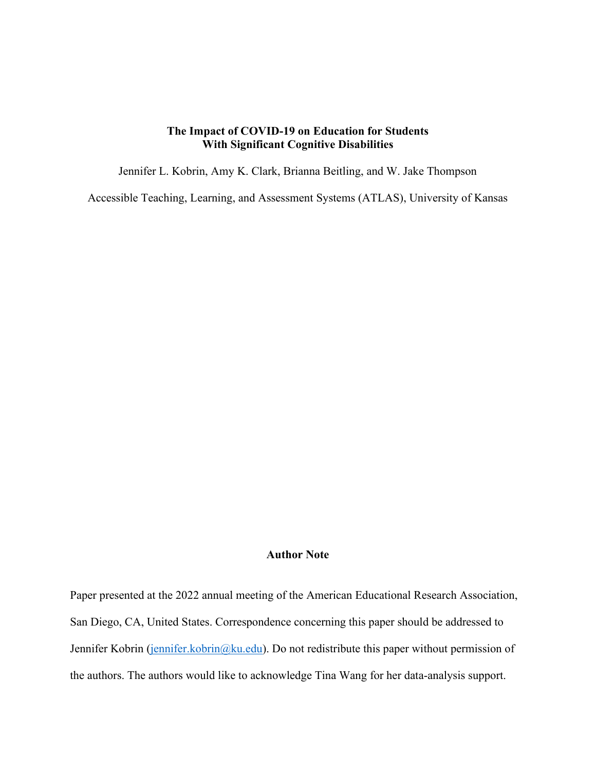## **The Impact of COVID-19 on Education for Students With Significant Cognitive Disabilities**

Jennifer L. Kobrin, Amy K. Clark, Brianna Beitling, and W. Jake Thompson

Accessible Teaching, Learning, and Assessment Systems (ATLAS), University of Kansas

## **Author Note**

Paper presented at the 2022 annual meeting of the American Educational Research Association, San Diego, CA, United States. Correspondence concerning this paper should be addressed to Jennifer Kobrin [\(jennifer.kobrin@ku.edu\)](mailto:jennifer.kobrin@ku.edu). Do not redistribute this paper without permission of the authors. The authors would like to acknowledge Tina Wang for her data-analysis support.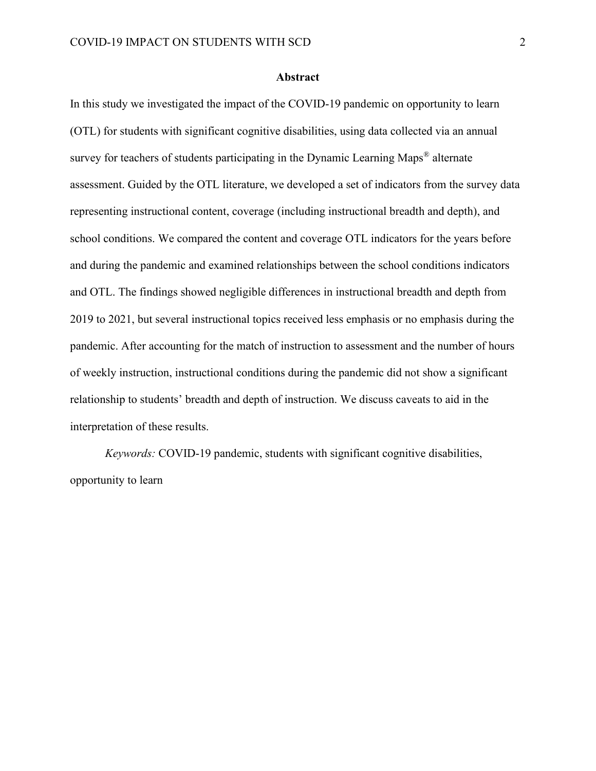#### **Abstract**

In this study we investigated the impact of the COVID-19 pandemic on opportunity to learn (OTL) for students with significant cognitive disabilities, using data collected via an annual survey for teachers of students participating in the Dynamic Learning Maps<sup>®</sup> alternate assessment. Guided by the OTL literature, we developed a set of indicators from the survey data representing instructional content, coverage (including instructional breadth and depth), and school conditions. We compared the content and coverage OTL indicators for the years before and during the pandemic and examined relationships between the school conditions indicators and OTL. The findings showed negligible differences in instructional breadth and depth from 2019 to 2021, but several instructional topics received less emphasis or no emphasis during the pandemic. After accounting for the match of instruction to assessment and the number of hours of weekly instruction, instructional conditions during the pandemic did not show a significant relationship to students' breadth and depth of instruction. We discuss caveats to aid in the interpretation of these results.

*Keywords:* COVID-19 pandemic, students with significant cognitive disabilities, opportunity to learn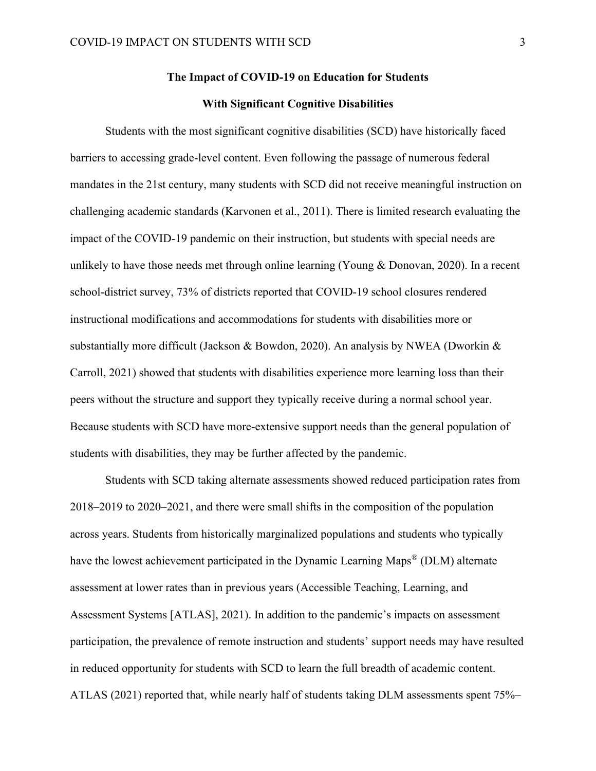# **The Impact of COVID-19 on Education for Students**

### **With Significant Cognitive Disabilities**

Students with the most significant cognitive disabilities (SCD) have historically faced barriers to accessing grade-level content. Even following the passage of numerous federal mandates in the 21st century, many students with SCD did not receive meaningful instruction on challenging academic standards (Karvonen et al., 2011). There is limited research evaluating the impact of the COVID-19 pandemic on their instruction, but students with special needs are unlikely to have those needs met through online learning (Young & Donovan, 2020). In a recent school-district survey, 73% of districts reported that COVID-19 school closures rendered instructional modifications and accommodations for students with disabilities more or substantially more difficult (Jackson & Bowdon, 2020). An analysis by NWEA (Dworkin & Carroll, 2021) showed that students with disabilities experience more learning loss than their peers without the structure and support they typically receive during a normal school year. Because students with SCD have more-extensive support needs than the general population of students with disabilities, they may be further affected by the pandemic.

Students with SCD taking alternate assessments showed reduced participation rates from 2018–2019 to 2020–2021, and there were small shifts in the composition of the population across years. Students from historically marginalized populations and students who typically have the lowest achievement participated in the Dynamic Learning Maps<sup>®</sup> (DLM) alternate assessment at lower rates than in previous years (Accessible Teaching, Learning, and Assessment Systems [ATLAS], 2021). In addition to the pandemic's impacts on assessment participation, the prevalence of remote instruction and students' support needs may have resulted in reduced opportunity for students with SCD to learn the full breadth of academic content. ATLAS (2021) reported that, while nearly half of students taking DLM assessments spent 75%–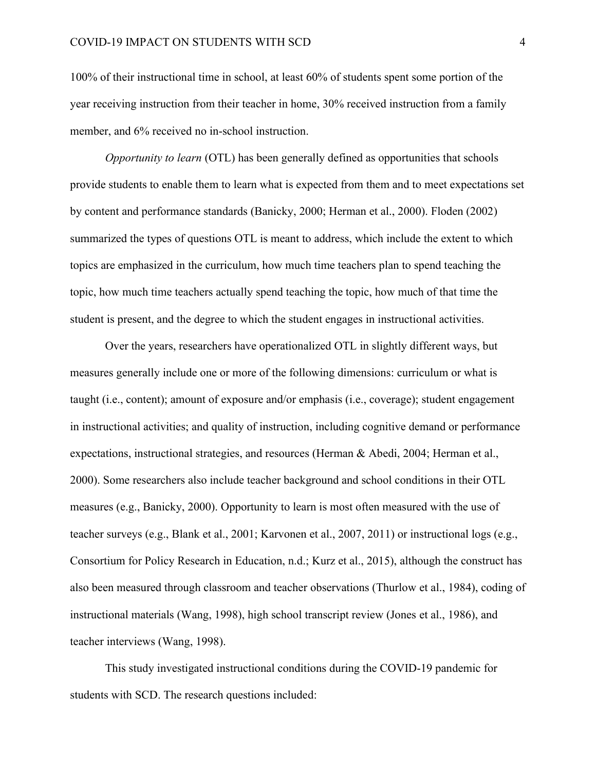100% of their instructional time in school, at least 60% of students spent some portion of the year receiving instruction from their teacher in home, 30% received instruction from a family member, and 6% received no in-school instruction.

*Opportunity to learn* (OTL) has been generally defined as opportunities that schools provide students to enable them to learn what is expected from them and to meet expectations set by content and performance standards (Banicky, 2000; Herman et al., 2000). Floden (2002) summarized the types of questions OTL is meant to address, which include the extent to which topics are emphasized in the curriculum, how much time teachers plan to spend teaching the topic, how much time teachers actually spend teaching the topic, how much of that time the student is present, and the degree to which the student engages in instructional activities.

Over the years, researchers have operationalized OTL in slightly different ways, but measures generally include one or more of the following dimensions: curriculum or what is taught (i.e., content); amount of exposure and/or emphasis (i.e., coverage); student engagement in instructional activities; and quality of instruction, including cognitive demand or performance expectations, instructional strategies, and resources (Herman & Abedi, 2004; Herman et al., 2000). Some researchers also include teacher background and school conditions in their OTL measures (e.g., Banicky, 2000). Opportunity to learn is most often measured with the use of teacher surveys (e.g., Blank et al., 2001; Karvonen et al., 2007, 2011) or instructional logs (e.g., Consortium for Policy Research in Education, n.d.; Kurz et al., 2015), although the construct has also been measured through classroom and teacher observations (Thurlow et al., 1984), coding of instructional materials (Wang, 1998), high school transcript review (Jones et al., 1986), and teacher interviews (Wang, 1998).

This study investigated instructional conditions during the COVID-19 pandemic for students with SCD. The research questions included: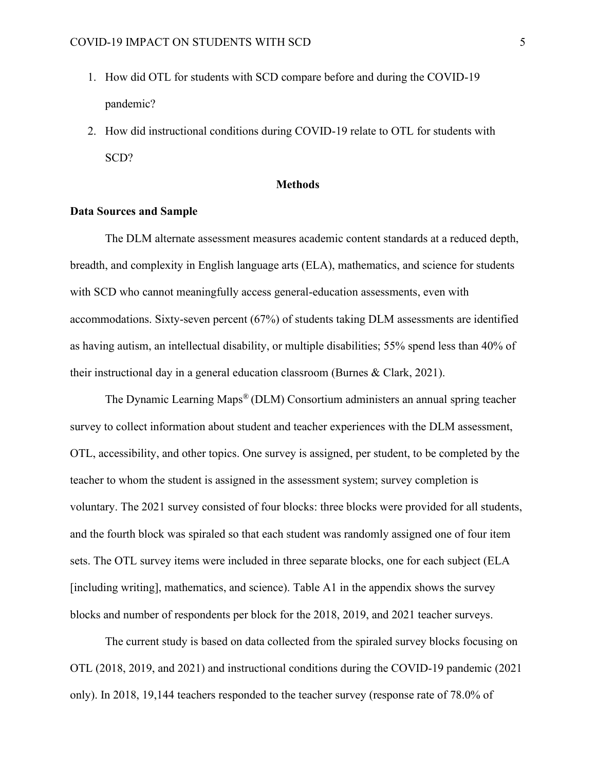- 1. How did OTL for students with SCD compare before and during the COVID-19 pandemic?
- 2. How did instructional conditions during COVID-19 relate to OTL for students with SCD?

#### **Methods**

#### **Data Sources and Sample**

The DLM alternate assessment measures academic content standards at a reduced depth, breadth, and complexity in English language arts (ELA), mathematics, and science for students with SCD who cannot meaningfully access general-education assessments, even with accommodations. Sixty-seven percent (67%) of students taking DLM assessments are identified as having autism, an intellectual disability, or multiple disabilities; 55% spend less than 40% of their instructional day in a general education classroom (Burnes & Clark, 2021).

The Dynamic Learning Maps® (DLM) Consortium administers an annual spring teacher survey to collect information about student and teacher experiences with the DLM assessment, OTL, accessibility, and other topics. One survey is assigned, per student, to be completed by the teacher to whom the student is assigned in the assessment system; survey completion is voluntary. The 2021 survey consisted of four blocks: three blocks were provided for all students, and the fourth block was spiraled so that each student was randomly assigned one of four item sets. The OTL survey items were included in three separate blocks, one for each subject (ELA [including writing], mathematics, and science). Table A1 in the appendix shows the survey blocks and number of respondents per block for the 2018, 2019, and 2021 teacher surveys.

The current study is based on data collected from the spiraled survey blocks focusing on OTL (2018, 2019, and 2021) and instructional conditions during the COVID-19 pandemic (2021 only). In 2018, 19,144 teachers responded to the teacher survey (response rate of 78.0% of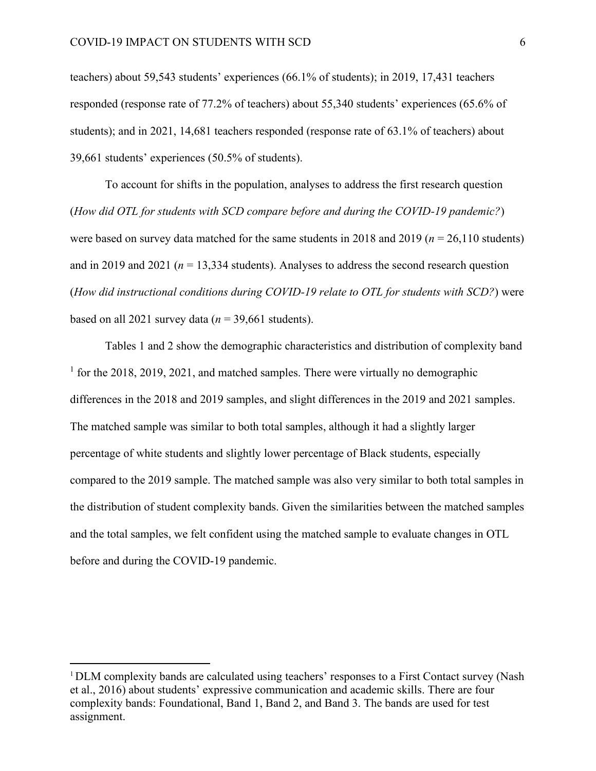teachers) about 59,543 students' experiences (66.1% of students); in 2019, 17,431 teachers responded (response rate of 77.2% of teachers) about 55,340 students' experiences (65.6% of students); and in 2021, 14,681 teachers responded (response rate of 63.1% of teachers) about 39,661 students' experiences (50.5% of students).

To account for shifts in the population, analyses to address the first research question (*How did OTL for students with SCD compare before and during the COVID-19 pandemic?*) were based on survey data matched for the same students in 2018 and 2019 (*n* = 26,110 students) and in 2019 and 2021 ( $n = 13,334$  students). Analyses to address the second research question (*How did instructional conditions during COVID-19 relate to OTL for students with SCD?*) were based on all 2021 survey data ( $n = 39,661$  students).

Tables 1 and 2 show the demographic characteristics and distribution of complexity band <sup>1</sup> for the 2018, 2019, 2021, and matched samples. There were virtually no demographic differences in the 2018 and 2019 samples, and slight differences in the 2019 and 2021 samples. The matched sample was similar to both total samples, although it had a slightly larger percentage of white students and slightly lower percentage of Black students, especially compared to the 2019 sample. The matched sample was also very similar to both total samples in the distribution of student complexity bands. Given the similarities between the matched samples and the total samples, we felt confident using the matched sample to evaluate changes in OTL before and during the COVID-19 pandemic.

<sup>&</sup>lt;sup>1</sup> DLM complexity bands are calculated using teachers' responses to a First Contact survey (Nash et al., 2016) about students' expressive communication and academic skills. There are four complexity bands: Foundational, Band 1, Band 2, and Band 3. The bands are used for test assignment.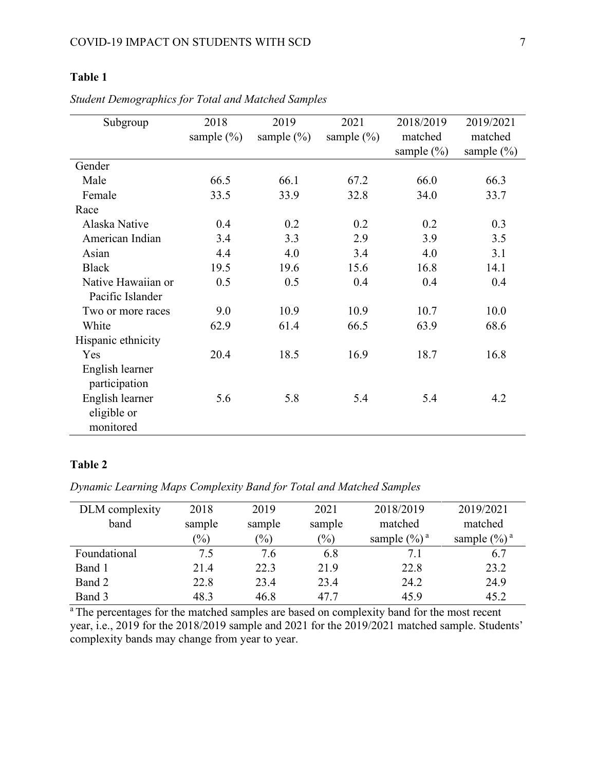# **Table 1**

| Subgroup           | 2018           | 2019           | 2021           | 2018/2019      | 2019/2021      |
|--------------------|----------------|----------------|----------------|----------------|----------------|
|                    | sample $(\% )$ | sample $(\% )$ | sample $(\% )$ | matched        | matched        |
|                    |                |                |                | sample $(\% )$ | sample $(\% )$ |
| Gender             |                |                |                |                |                |
| Male               | 66.5           | 66.1           | 67.2           | 66.0           | 66.3           |
| Female             | 33.5           | 33.9           | 32.8           | 34.0           | 33.7           |
| Race               |                |                |                |                |                |
| Alaska Native      | 0.4            | 0.2            | 0.2            | 0.2            | 0.3            |
| American Indian    | 3.4            | 3.3            | 2.9            | 3.9            | 3.5            |
| Asian              | 4.4            | 4.0            | 3.4            | 4.0            | 3.1            |
| <b>Black</b>       | 19.5           | 19.6           | 15.6           | 16.8           | 14.1           |
| Native Hawaiian or | 0.5            | 0.5            | 0.4            | 0.4            | 0.4            |
| Pacific Islander   |                |                |                |                |                |
| Two or more races  | 9.0            | 10.9           | 10.9           | 10.7           | 10.0           |
| White              | 62.9           | 61.4           | 66.5           | 63.9           | 68.6           |
| Hispanic ethnicity |                |                |                |                |                |
| Yes                | 20.4           | 18.5           | 16.9           | 18.7           | 16.8           |
| English learner    |                |                |                |                |                |
| participation      |                |                |                |                |                |
| English learner    | 5.6            | 5.8            | 5.4            | 5.4            | 4.2            |
| eligible or        |                |                |                |                |                |
| monitored          |                |                |                |                |                |

*Student Demographics for Total and Matched Samples*

### **Table 2**

*Dynamic Learning Maps Complexity Band for Total and Matched Samples*

| DLM complexity | 2018                       | 2019                       | 2021   | 2018/2019       | 2019/2021       |
|----------------|----------------------------|----------------------------|--------|-----------------|-----------------|
| band           | sample                     | sample                     | sample | matched         | matched         |
|                | $\left(\frac{0}{0}\right)$ | $\left(\frac{0}{0}\right)$ | $(\%)$ | sample $(\%)^a$ | sample $(\%)^a$ |
| Foundational   | 7.5                        | 7.6                        | 6.8    | 7.1             | 6.7             |
| Band 1         | 21.4                       | 22.3                       | 21.9   | 22.8            | 23.2            |
| Band 2         | 22.8                       | 23.4                       | 23.4   | 24.2            | 24.9            |
| Band 3         | 48.3                       | 46.8                       | 47.7   | 45.9            | 45.2            |

<sup>a</sup>The percentages for the matched samples are based on complexity band for the most recent year, i.e., 2019 for the 2018/2019 sample and 2021 for the 2019/2021 matched sample. Students' complexity bands may change from year to year.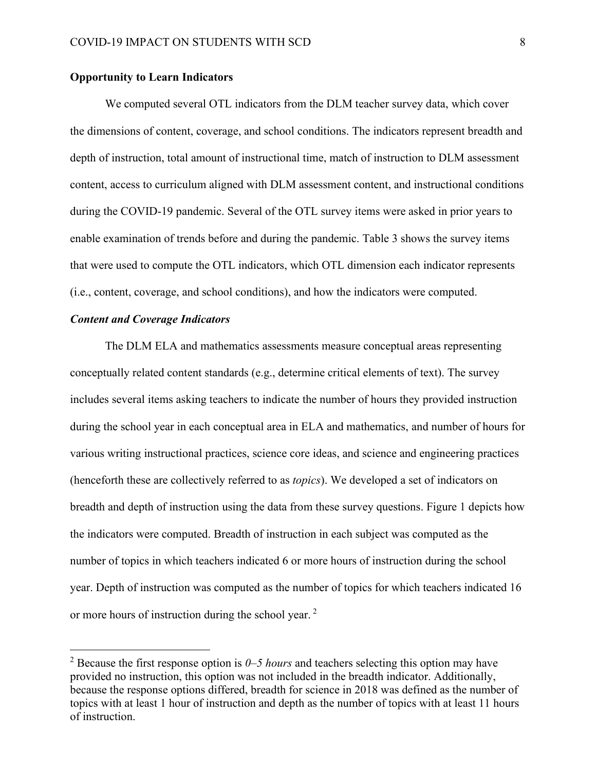### **Opportunity to Learn Indicators**

We computed several OTL indicators from the DLM teacher survey data, which cover the dimensions of content, coverage, and school conditions. The indicators represent breadth and depth of instruction, total amount of instructional time, match of instruction to DLM assessment content, access to curriculum aligned with DLM assessment content, and instructional conditions during the COVID-19 pandemic. Several of the OTL survey items were asked in prior years to enable examination of trends before and during the pandemic. Table 3 shows the survey items that were used to compute the OTL indicators, which OTL dimension each indicator represents (i.e., content, coverage, and school conditions), and how the indicators were computed.

### *Content and Coverage Indicators*

The DLM ELA and mathematics assessments measure conceptual areas representing conceptually related content standards (e.g., determine critical elements of text). The survey includes several items asking teachers to indicate the number of hours they provided instruction during the school year in each conceptual area in ELA and mathematics, and number of hours for various writing instructional practices, science core ideas, and science and engineering practices (henceforth these are collectively referred to as *topics*). We developed a set of indicators on breadth and depth of instruction using the data from these survey questions. Figure 1 depicts how the indicators were computed. Breadth of instruction in each subject was computed as the number of topics in which teachers indicated 6 or more hours of instruction during the school year. Depth of instruction was computed as the number of topics for which teachers indicated 16 or more hours of instruction during the school year. <sup>2</sup>

<sup>2</sup> Because the first response option is *0–5 hours* and teachers selecting this option may have provided no instruction, this option was not included in the breadth indicator. Additionally, because the response options differed, breadth for science in 2018 was defined as the number of topics with at least 1 hour of instruction and depth as the number of topics with at least 11 hours of instruction.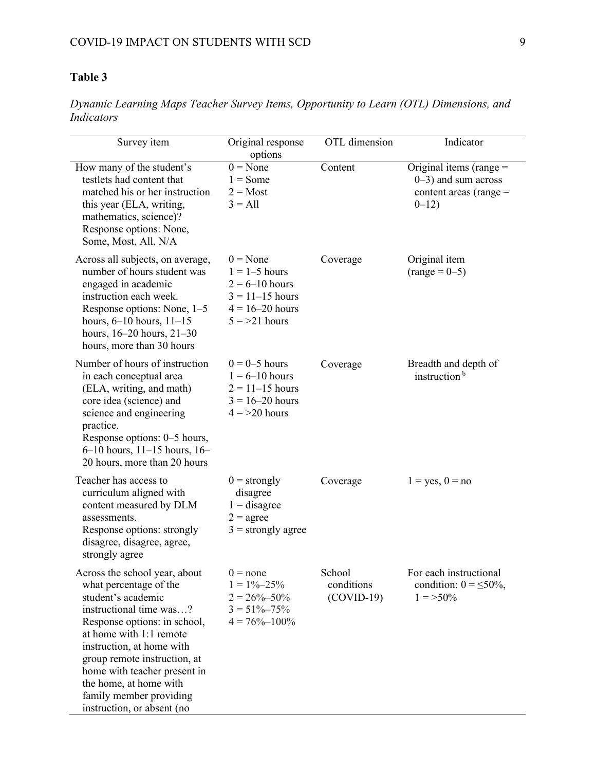# **Table 3**

*Dynamic Learning Maps Teacher Survey Items, Opportunity to Learn (OTL) Dimensions, and Indicators*

| Survey item                                                                                                                                                                                                                                                                                                                                         | Original response<br>options                                                                                        | OTL dimension                        | Indicator                                                                                   |
|-----------------------------------------------------------------------------------------------------------------------------------------------------------------------------------------------------------------------------------------------------------------------------------------------------------------------------------------------------|---------------------------------------------------------------------------------------------------------------------|--------------------------------------|---------------------------------------------------------------------------------------------|
| How many of the student's<br>testlets had content that<br>matched his or her instruction<br>this year (ELA, writing,<br>mathematics, science)?<br>Response options: None,<br>Some, Most, All, N/A                                                                                                                                                   | $0 = None$<br>$1 = Some$<br>$2 = Most$<br>$3 = All$                                                                 | Content                              | Original items (range $=$<br>$0-3$ ) and sum across<br>content areas (range $=$<br>$0 - 12$ |
| Across all subjects, on average,<br>number of hours student was<br>engaged in academic<br>instruction each week.<br>Response options: None, 1-5<br>hours, $6-10$ hours, $11-15$<br>hours, $16-20$ hours, $21-30$<br>hours, more than 30 hours                                                                                                       | $0 = None$<br>$1 = 1-5$ hours<br>$2 = 6 - 10$ hours<br>$3 = 11 - 15$ hours<br>$4 = 16 - 20$ hours<br>$5 = 21$ hours | Coverage                             | Original item<br>$(range = 0-5)$                                                            |
| Number of hours of instruction<br>in each conceptual area<br>(ELA, writing, and math)<br>core idea (science) and<br>science and engineering<br>practice.<br>Response options: 0–5 hours,<br>$6-10$ hours, $11-15$ hours, $16-$<br>20 hours, more than 20 hours                                                                                      | $0 = 0-5$ hours<br>$1 = 6 - 10$ hours<br>$2 = 11 - 15$ hours<br>$3 = 16 - 20$ hours<br>$4 = 20$ hours               | Coverage                             | Breadth and depth of<br>instruction <sup>b</sup>                                            |
| Teacher has access to<br>curriculum aligned with<br>content measured by DLM<br>assessments.<br>Response options: strongly<br>disagree, disagree, agree,<br>strongly agree                                                                                                                                                                           | $0 =$ strongly<br>disagree<br>$1 =$ disagree<br>$2 = \text{agree}$<br>$3 =$ strongly agree                          | Coverage                             | $1 = yes, 0 = no$                                                                           |
| Across the school year, about<br>what percentage of the<br>student's academic<br>instructional time was?<br>Response options: in school,<br>at home with 1:1 remote<br>instruction, at home with<br>group remote instruction, at<br>home with teacher present in<br>the home, at home with<br>family member providing<br>instruction, or absent (no | $0 = none$<br>$1 = 1\% - 25\%$<br>$2 = 26\% - 50\%$<br>$3 = 51\% - 75\%$<br>$4 = 76\% - 100\%$                      | School<br>conditions<br>$(COVID-19)$ | For each instructional<br>condition: $0 = \leq 50\%$ ,<br>$1 = >50\%$                       |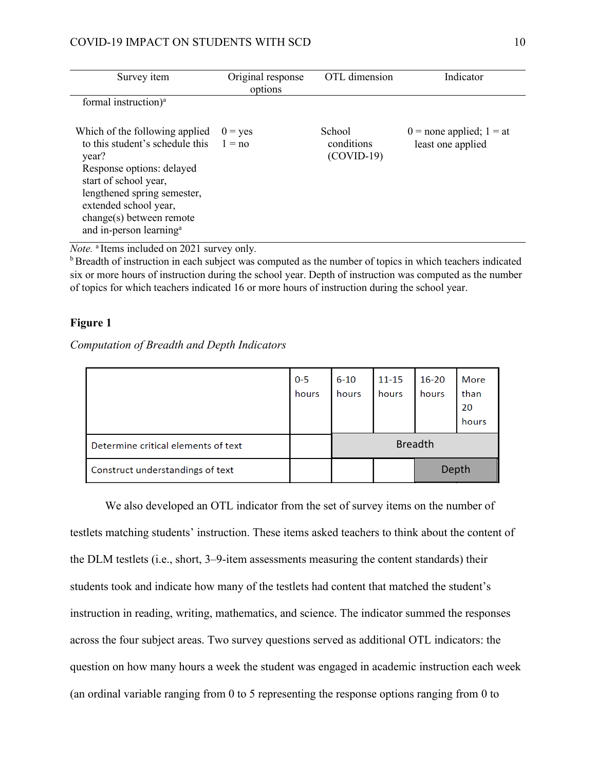### COVID-19 IMPACT ON STUDENTS WITH SCD 10

| Survey item                                                                                                                                                                                                                                                 | Original response<br>options | OTL dimension                        | Indicator                                         |
|-------------------------------------------------------------------------------------------------------------------------------------------------------------------------------------------------------------------------------------------------------------|------------------------------|--------------------------------------|---------------------------------------------------|
| formal instruction) <sup>a</sup>                                                                                                                                                                                                                            |                              |                                      |                                                   |
| Which of the following applied<br>to this student's schedule this<br>year?<br>Response options: delayed<br>start of school year,<br>lengthened spring semester,<br>extended school year,<br>change(s) between remote<br>and in-person learning <sup>a</sup> | $0 = yes$<br>$1 = no$        | School<br>conditions<br>$(COVID-19)$ | $0 =$ none applied; $1 =$ at<br>least one applied |

*Note.* <sup>a</sup> Items included on 2021 survey only*.* 

**b** Breadth of instruction in each subject was computed as the number of topics in which teachers indicated six or more hours of instruction during the school year. Depth of instruction was computed as the number of topics for which teachers indicated 16 or more hours of instruction during the school year.

### **Figure 1**

*Computation of Breadth and Depth Indicators*

|                                     | $0 - 5$<br>hours | $6 - 10$<br>hours | $11 - 15$<br>hours | $16 - 20$<br>hours | More<br>than<br>20<br>hours |  |
|-------------------------------------|------------------|-------------------|--------------------|--------------------|-----------------------------|--|
| Determine critical elements of text |                  | <b>Breadth</b>    |                    |                    |                             |  |
| Construct understandings of text    |                  |                   | Depth              |                    |                             |  |

We also developed an OTL indicator from the set of survey items on the number of testlets matching students' instruction. These items asked teachers to think about the content of the DLM testlets (i.e., short, 3–9-item assessments measuring the content standards) their students took and indicate how many of the testlets had content that matched the student's instruction in reading, writing, mathematics, and science. The indicator summed the responses across the four subject areas. Two survey questions served as additional OTL indicators: the question on how many hours a week the student was engaged in academic instruction each week (an ordinal variable ranging from 0 to 5 representing the response options ranging from 0 to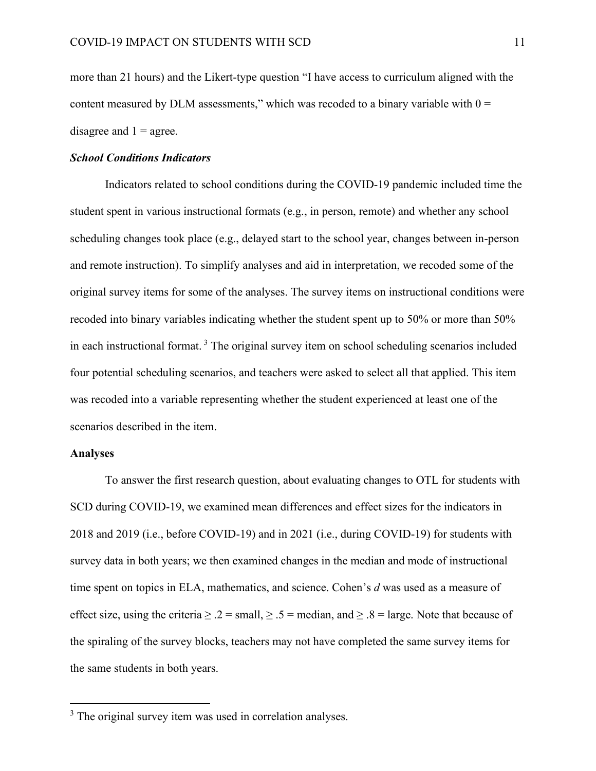more than 21 hours) and the Likert-type question "I have access to curriculum aligned with the content measured by DLM assessments," which was recoded to a binary variable with  $0 =$ disagree and  $1 = \text{agree}$ .

#### *School Conditions Indicators*

Indicators related to school conditions during the COVID-19 pandemic included time the student spent in various instructional formats (e.g., in person, remote) and whether any school scheduling changes took place (e.g., delayed start to the school year, changes between in-person and remote instruction). To simplify analyses and aid in interpretation, we recoded some of the original survey items for some of the analyses. The survey items on instructional conditions were recoded into binary variables indicating whether the student spent up to 50% or more than 50% in each instructional format. <sup>3</sup> The original survey item on school scheduling scenarios included four potential scheduling scenarios, and teachers were asked to select all that applied. This item was recoded into a variable representing whether the student experienced at least one of the scenarios described in the item.

#### **Analyses**

To answer the first research question, about evaluating changes to OTL for students with SCD during COVID-19, we examined mean differences and effect sizes for the indicators in 2018 and 2019 (i.e., before COVID-19) and in 2021 (i.e., during COVID-19) for students with survey data in both years; we then examined changes in the median and mode of instructional time spent on topics in ELA, mathematics, and science. Cohen's *d* was used as a measure of effect size, using the criteria  $\geq 0.2$  = small,  $\geq 0.5$  = median, and  $\geq 0.8$  = large. Note that because of the spiraling of the survey blocks, teachers may not have completed the same survey items for the same students in both years.

<sup>&</sup>lt;sup>3</sup> The original survey item was used in correlation analyses.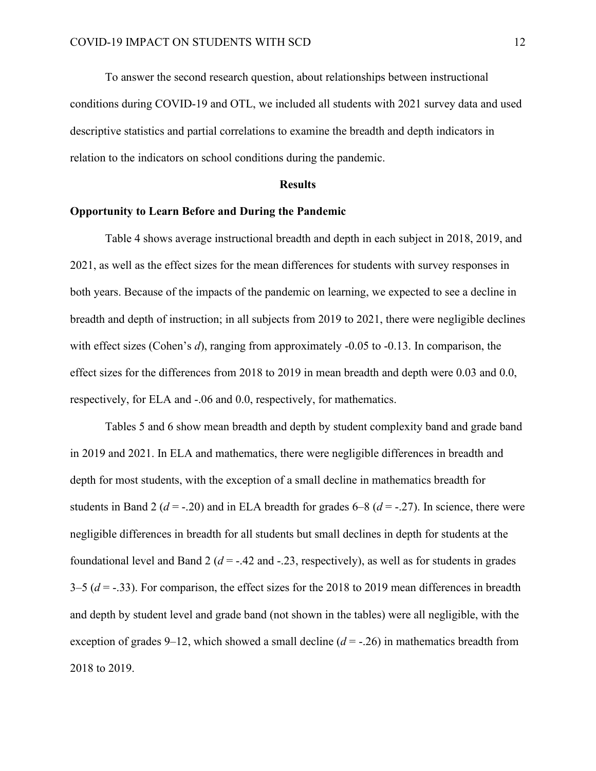To answer the second research question, about relationships between instructional conditions during COVID-19 and OTL, we included all students with 2021 survey data and used descriptive statistics and partial correlations to examine the breadth and depth indicators in relation to the indicators on school conditions during the pandemic.

#### **Results**

### **Opportunity to Learn Before and During the Pandemic**

Table 4 shows average instructional breadth and depth in each subject in 2018, 2019, and 2021, as well as the effect sizes for the mean differences for students with survey responses in both years. Because of the impacts of the pandemic on learning, we expected to see a decline in breadth and depth of instruction; in all subjects from 2019 to 2021, there were negligible declines with effect sizes (Cohen's *d*), ranging from approximately -0.05 to -0.13. In comparison, the effect sizes for the differences from 2018 to 2019 in mean breadth and depth were 0.03 and 0.0, respectively, for ELA and -.06 and 0.0, respectively, for mathematics.

Tables 5 and 6 show mean breadth and depth by student complexity band and grade band in 2019 and 2021. In ELA and mathematics, there were negligible differences in breadth and depth for most students, with the exception of a small decline in mathematics breadth for students in Band 2 ( $d = -20$ ) and in ELA breadth for grades 6–8 ( $d = -27$ ). In science, there were negligible differences in breadth for all students but small declines in depth for students at the foundational level and Band 2 ( $d = -0.42$  and  $-0.23$ , respectively), as well as for students in grades 3–5 (*d* = -.33). For comparison, the effect sizes for the 2018 to 2019 mean differences in breadth and depth by student level and grade band (not shown in the tables) were all negligible, with the exception of grades 9–12, which showed a small decline  $(d = -0.26)$  in mathematics breadth from 2018 to 2019.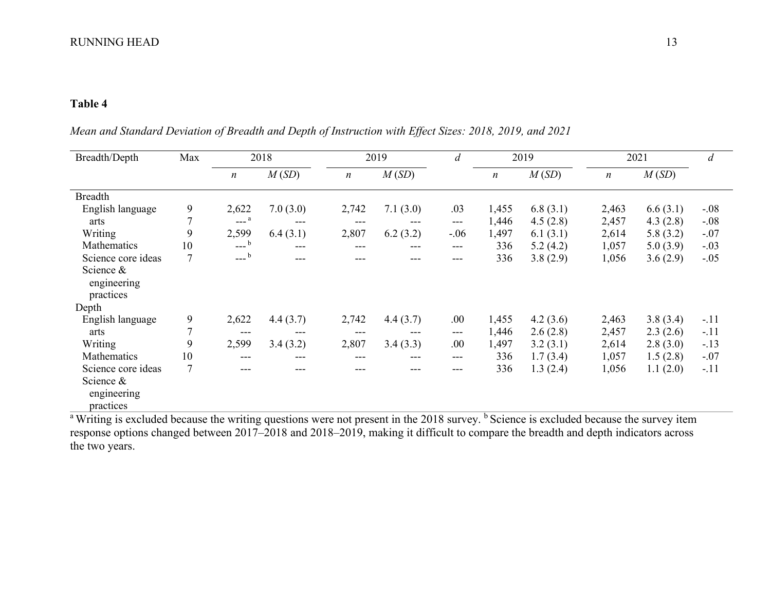# **Table 4**

*Mean and Standard Deviation of Breadth and Depth of Instruction with Effect Sizes: 2018, 2019, and 2021* 

| Breadth/Depth                         | Max            |                  | 2018     |                  | 2019     | d      |                  | 2019     | 2021  |          | d      |
|---------------------------------------|----------------|------------------|----------|------------------|----------|--------|------------------|----------|-------|----------|--------|
|                                       |                | $\boldsymbol{n}$ | M(SD)    | $\boldsymbol{n}$ | M(SD)    |        | $\boldsymbol{n}$ | M(SD)    | n     | M(SD)    |        |
| <b>Breadth</b>                        |                |                  |          |                  |          |        |                  |          |       |          |        |
| English language                      | 9              | 2,622            | 7.0(3.0) | 2,742            | 7.1(3.0) | .03    | 1,455            | 6.8(3.1) | 2,463 | 6.6(3.1) | $-.08$ |
| arts                                  | $\mathcal{L}$  | $---a$           | $---$    | ---              | ---      | ---    | 1,446            | 4.5(2.8) | 2,457 | 4.3(2.8) | $-.08$ |
| Writing                               | 9              | 2,599            | 6.4(3.1) | 2,807            | 6.2(3.2) | $-.06$ | 1,497            | 6.1(3.1) | 2,614 | 5.8(3.2) | $-.07$ |
| Mathematics                           | 10             | $---b$           | $---$    | ---              | ---      | ---    | 336              | 5.2(4.2) | 1,057 | 5.0(3.9) | $-.03$ |
| Science core ideas                    |                | $---b$           | $---$    |                  | ---      | ---    | 336              | 3.8(2.9) | 1,056 | 3.6(2.9) | $-.05$ |
| Science &<br>engineering<br>practices |                |                  |          |                  |          |        |                  |          |       |          |        |
| Depth                                 |                |                  |          |                  |          |        |                  |          |       |          |        |
| English language                      | 9              | 2,622            | 4.4(3.7) | 2,742            | 4.4(3.7) | .00    | 1,455            | 4.2(3.6) | 2,463 | 3.8(3.4) | $-.11$ |
| arts                                  |                | ---              | $---$    | ---              | ---      | ---    | 1,446            | 2.6(2.8) | 2,457 | 2.3(2.6) | $-.11$ |
| Writing                               | 9              | 2,599            | 3.4(3.2) | 2,807            | 3.4(3.3) | .00    | 1,497            | 3.2(3.1) | 2,614 | 2.8(3.0) | $-.13$ |
| Mathematics                           | 10             | ---              | ---      | ---              | ---      | ---    | 336              | 1.7(3.4) | 1,057 | 1.5(2.8) | $-.07$ |
| Science core ideas                    | $\overline{7}$ | ---              | ---      | ---              | ---      | ---    | 336              | 1.3(2.4) | 1,056 | 1.1(2.0) | $-.11$ |
| Science &<br>engineering<br>practices |                |                  |          |                  |          |        |                  |          |       |          |        |

<sup>a</sup> Writing is excluded because the writing questions were not present in the 2018 survey. <sup>b</sup> Science is excluded because the survey item response options changed between 2017–2018 and 2018–2019, making it difficult to compare the breadth and depth indicators across the two years.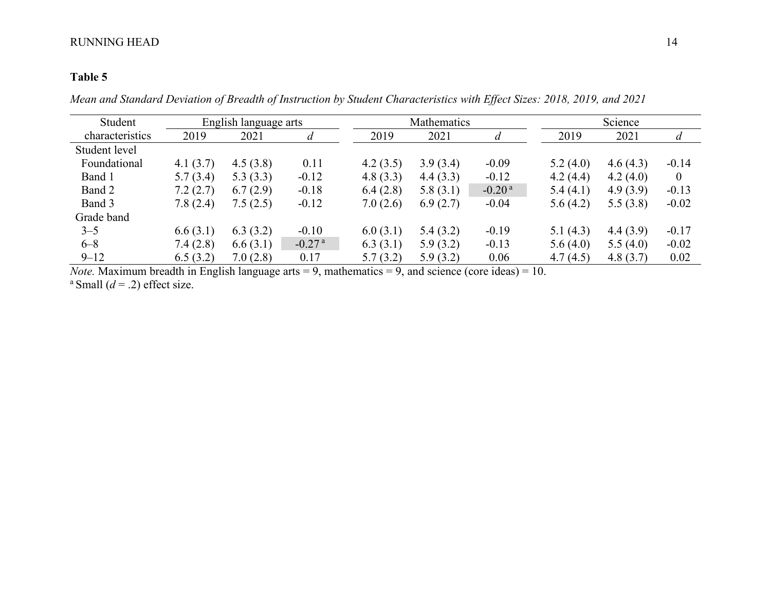# **Table 5**

*Mean and Standard Deviation of Breadth of Instruction by Student Characteristics with Effect Sizes: 2018, 2019, and 2021*

| Student         | English language arts |          |                      |          | Mathematics |          |          | Science  |              |
|-----------------|-----------------------|----------|----------------------|----------|-------------|----------|----------|----------|--------------|
| characteristics | 2019                  | 2021     | d                    | 2019     | 2021        | a        | 2019     | 2021     | d            |
| Student level   |                       |          |                      |          |             |          |          |          |              |
| Foundational    | 4.1(3.7)              | 4.5(3.8) | 0.11                 | 4.2(3.5) | 3.9(3.4)    | $-0.09$  | 5.2(4.0) | 4.6(4.3) | $-0.14$      |
| Band 1          | 5.7(3.4)              | 5.3(3.3) | $-0.12$              | 4.8(3.3) | 4.4(3.3)    | $-0.12$  | 4.2(4.4) | 4.2(4.0) | $\mathbf{0}$ |
| Band 2          | 7.2(2.7)              | 6.7(2.9) | $-0.18$              | 6.4(2.8) | 5.8(3.1)    | $-0.20a$ | 5.4(4.1) | 4.9(3.9) | $-0.13$      |
| Band 3          | 7.8(2.4)              | 7.5(2.5) | $-0.12$              | 7.0(2.6) | 6.9(2.7)    | $-0.04$  | 5.6(4.2) | 5.5(3.8) | $-0.02$      |
| Grade band      |                       |          |                      |          |             |          |          |          |              |
| $3 - 5$         | 6.6(3.1)              | 6.3(3.2) | $-0.10$              | 6.0(3.1) | 5.4(3.2)    | $-0.19$  | 5.1(4.3) | 4.4(3.9) | $-0.17$      |
| $6 - 8$         | 7.4(2.8)              | 6.6(3.1) | $-0.27$ <sup>a</sup> | 6.3(3.1) | 5.9(3.2)    | $-0.13$  | 5.6(4.0) | 5.5(4.0) | $-0.02$      |
| $9 - 12$        | 6.5(3.2)              | 7.0(2.8) | 0.17                 | 5.7(3.2) | 5.9(3.2)    | 0.06     | 4.7(4.5) | 4.8(3.7) | 0.02         |

*Note.* Maximum breadth in English language arts  $= 9$ , mathematics  $= 9$ , and science (core ideas)  $= 10$ . <sup>a</sup> Small  $(d = .2)$  effect size.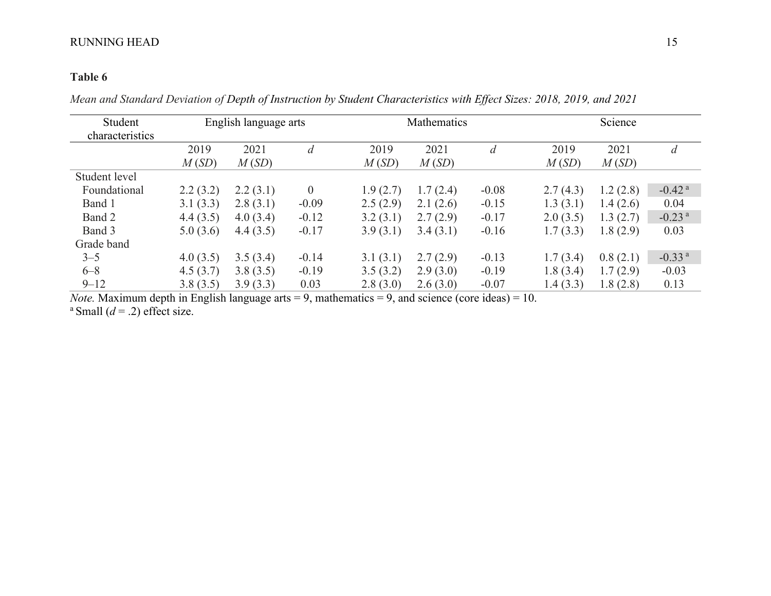# **Table 6**

*Mean and Standard Deviation of Depth of Instruction by Student Characteristics with Effect Sizes: 2018, 2019, and 2021*

| Student         | English language arts |          |          |          | Mathematics |         | Science  |          |                      |
|-----------------|-----------------------|----------|----------|----------|-------------|---------|----------|----------|----------------------|
| characteristics |                       |          |          |          |             |         |          |          |                      |
|                 | 2019                  | 2021     | d        | 2019     | 2021        | d       | 2019     | 2021     | $\overline{d}$       |
|                 | M(SD)                 | M(SD)    |          | M(SD)    | M(SD)       |         | M(SD)    | M(SD)    |                      |
| Student level   |                       |          |          |          |             |         |          |          |                      |
| Foundational    | 2.2(3.2)              | 2.2(3.1) | $\theta$ | 1.9(2.7) | 1.7(2.4)    | $-0.08$ | 2.7(4.3) | 1.2(2.8) | $-0.42$ <sup>a</sup> |
| Band 1          | 3.1(3.3)              | 2.8(3.1) | $-0.09$  | 2.5(2.9) | 2.1(2.6)    | $-0.15$ | 1.3(3.1) | 1.4(2.6) | 0.04                 |
| Band 2          | 4.4(3.5)              | 4.0(3.4) | $-0.12$  | 3.2(3.1) | 2.7(2.9)    | $-0.17$ | 2.0(3.5) | 1.3(2.7) | $-0.23$ <sup>a</sup> |
| Band 3          | 5.0(3.6)              | 4.4(3.5) | $-0.17$  | 3.9(3.1) | 3.4(3.1)    | $-0.16$ | 1.7(3.3) | 1.8(2.9) | 0.03                 |
| Grade band      |                       |          |          |          |             |         |          |          |                      |
| $3 - 5$         | 4.0(3.5)              | 3.5(3.4) | $-0.14$  | 3.1(3.1) | 2.7(2.9)    | $-0.13$ | 1.7(3.4) | 0.8(2.1) | $-0.33$ <sup>a</sup> |
| $6 - 8$         | 4.5(3.7)              | 3.8(3.5) | $-0.19$  | 3.5(3.2) | 2.9(3.0)    | $-0.19$ | 1.8(3.4) | 1.7(2.9) | $-0.03$              |
| $9 - 12$        | 3.8(3.5)              | 3.9(3.3) | 0.03     | 2.8(3.0) | 2.6(3.0)    | $-0.07$ | 1.4(3.3) | 1.8(2.8) | 0.13                 |

*Note.* Maximum depth in English language arts = 9, mathematics = 9, and science (core ideas) = 10.

<sup>a</sup> Small  $(d = .2)$  effect size.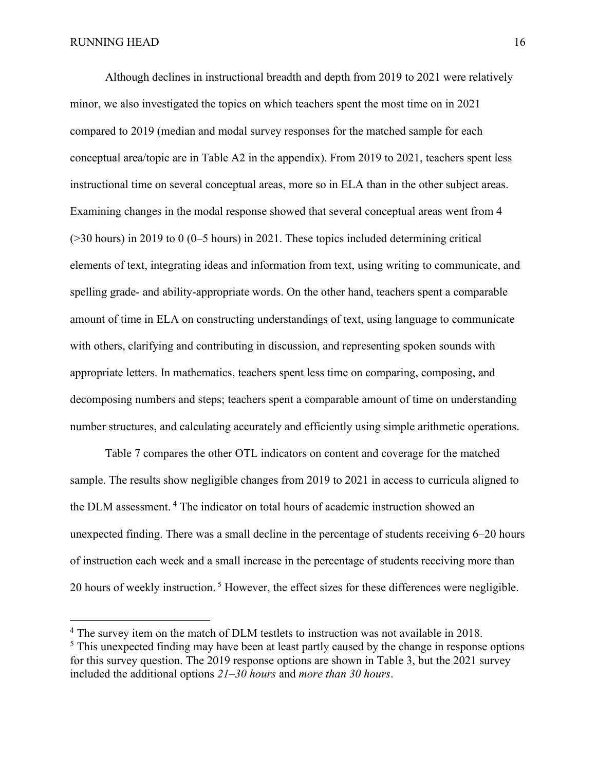Although declines in instructional breadth and depth from 2019 to 2021 were relatively minor, we also investigated the topics on which teachers spent the most time on in 2021 compared to 2019 (median and modal survey responses for the matched sample for each conceptual area/topic are in Table A2 in the appendix). From 2019 to 2021, teachers spent less instructional time on several conceptual areas, more so in ELA than in the other subject areas. Examining changes in the modal response showed that several conceptual areas went from 4 (>30 hours) in 2019 to 0 (0–5 hours) in 2021. These topics included determining critical elements of text, integrating ideas and information from text, using writing to communicate, and spelling grade- and ability-appropriate words. On the other hand, teachers spent a comparable amount of time in ELA on constructing understandings of text, using language to communicate with others, clarifying and contributing in discussion, and representing spoken sounds with appropriate letters. In mathematics, teachers spent less time on comparing, composing, and decomposing numbers and steps; teachers spent a comparable amount of time on understanding number structures, and calculating accurately and efficiently using simple arithmetic operations.

Table [7](file://///cfs.home.ku.edu/aai_general/ATLAS/DLM/Research%20&%20Psychometrics/Research%20Planning/Reports/Admin%20During%20COVID/DLM-COVID.docx%23engaging-instruction) compares the other OTL indicators on content and coverage for the matched sample. The results show negligible changes from 2019 to 2021 in access to curricula aligned to the DLM assessment. <sup>4</sup> The indicator on total hours of academic instruction showed an unexpected finding. There was a small decline in the percentage of students receiving 6–20 hours of instruction each week and a small increase in the percentage of students receiving more than 20 hours of weekly instruction.<sup>5</sup> However, the effect sizes for these differences were negligible.

<sup>&</sup>lt;sup>4</sup> The survey item on the match of DLM testlets to instruction was not available in 2018.

<sup>&</sup>lt;sup>5</sup> This unexpected finding may have been at least partly caused by the change in response options for this survey question. The 2019 response options are shown in Table 3, but the 2021 survey included the additional options *21–30 hours* and *more than 30 hours*.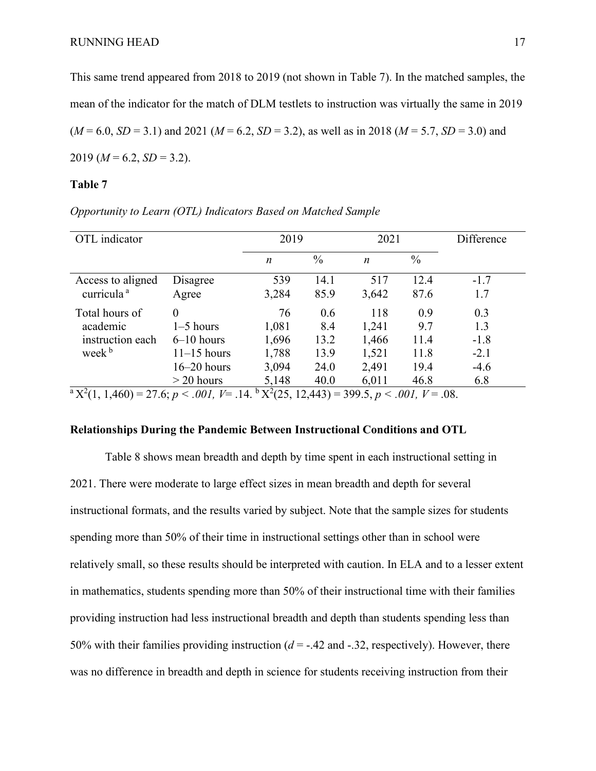This same trend appeared from 2018 to 2019 (not shown in Table 7). In the matched samples, the mean of the indicator for the match of DLM testlets to instruction was virtually the same in 2019  $(M = 6.0, SD = 3.1)$  and 2021  $(M = 6.2, SD = 3.2)$ , as well as in 2018  $(M = 5.7, SD = 3.0)$  and  $2019 (M = 6.2, SD = 3.2).$ 

### **Table 7**

| OTL indicator                                                                                                                                                      |               | 2019             |               | 2021  |               | Difference |
|--------------------------------------------------------------------------------------------------------------------------------------------------------------------|---------------|------------------|---------------|-------|---------------|------------|
|                                                                                                                                                                    |               | $\boldsymbol{n}$ | $\frac{0}{0}$ | n     | $\frac{0}{0}$ |            |
| Access to aligned                                                                                                                                                  | Disagree      | 539              | 14.1          | 517   | 12.4          | $-1.7$     |
| curricula <sup>a</sup>                                                                                                                                             | Agree         | 3,284            | 85.9          | 3,642 | 87.6          | 1.7        |
| Total hours of                                                                                                                                                     | $\Omega$      | 76               | 0.6           | 118   | 0.9           | 0.3        |
| academic                                                                                                                                                           | $1-5$ hours   | 1,081            | 8.4           | 1,241 | 9.7           | 1.3        |
| instruction each                                                                                                                                                   | $6-10$ hours  | 1,696            | 13.2          | 1,466 | 11.4          | $-1.8$     |
| week <sup>b</sup>                                                                                                                                                  | $11-15$ hours | 1,788            | 13.9          | 1,521 | 11.8          | $-2.1$     |
|                                                                                                                                                                    | $16-20$ hours | 3,094            | 24.0          | 2,491 | 19.4          | $-4.6$     |
|                                                                                                                                                                    | $>$ 20 hours  | 5,148            | 40.0          | 6,011 | 46.8          | 6.8        |
| ${}^{\rm a}$ X <sup>2</sup> (1, 1,460) = 27.6; <i>p</i> < .001, <i>V</i> = .14. ${}^{\rm b}$ X <sup>2</sup> (25, 12,443) = 399.5, <i>p</i> < .001, <i>V</i> = .08. |               |                  |               |       |               |            |

*Opportunity to Learn (OTL) Indicators Based on Matched Sample* 

### **Relationships During the Pandemic Between Instructional Conditions and OTL**

Table 8 shows mean breadth and depth by time spent in each instructional setting in 2021. There were moderate to large effect sizes in mean breadth and depth for several instructional formats, and the results varied by subject. Note that the sample sizes for students spending more than 50% of their time in instructional settings other than in school were relatively small, so these results should be interpreted with caution. In ELA and to a lesser extent in mathematics, students spending more than 50% of their instructional time with their families providing instruction had less instructional breadth and depth than students spending less than 50% with their families providing instruction  $(d = -0.42)$  and  $-0.32$ , respectively). However, there was no difference in breadth and depth in science for students receiving instruction from their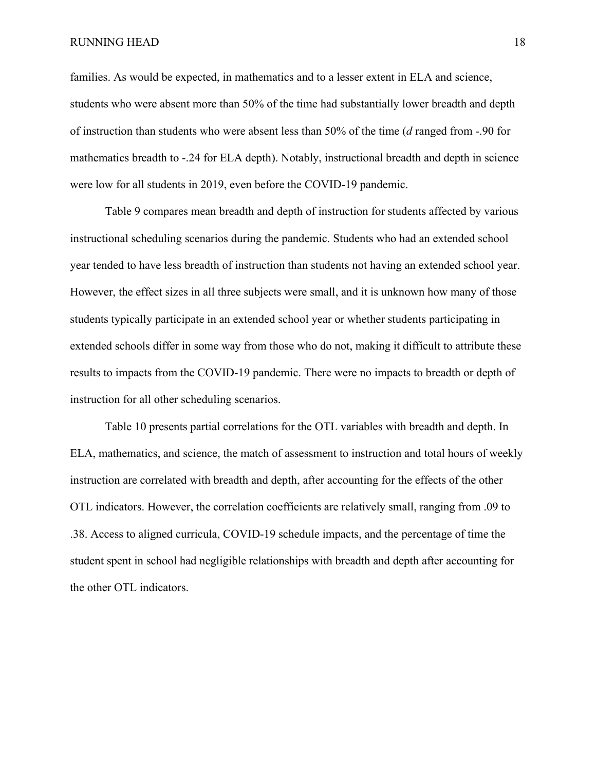families. As would be expected, in mathematics and to a lesser extent in ELA and science, students who were absent more than 50% of the time had substantially lower breadth and depth of instruction than students who were absent less than 50% of the time (*d* ranged from -.90 for mathematics breadth to -.24 for ELA depth). Notably, instructional breadth and depth in science were low for all students in 2019, even before the COVID-19 pandemic.

Table 9 compares mean breadth and depth of instruction for students affected by various instructional scheduling scenarios during the pandemic. Students who had an extended school year tended to have less breadth of instruction than students not having an extended school year. However, the effect sizes in all three subjects were small, and it is unknown how many of those students typically participate in an extended school year or whether students participating in extended schools differ in some way from those who do not, making it difficult to attribute these results to impacts from the COVID-19 pandemic. There were no impacts to breadth or depth of instruction for all other scheduling scenarios.

Table 10 presents partial correlations for the OTL variables with breadth and depth. In ELA, mathematics, and science, the match of assessment to instruction and total hours of weekly instruction are correlated with breadth and depth, after accounting for the effects of the other OTL indicators. However, the correlation coefficients are relatively small, ranging from .09 to .38. Access to aligned curricula, COVID-19 schedule impacts, and the percentage of time the student spent in school had negligible relationships with breadth and depth after accounting for the other OTL indicators.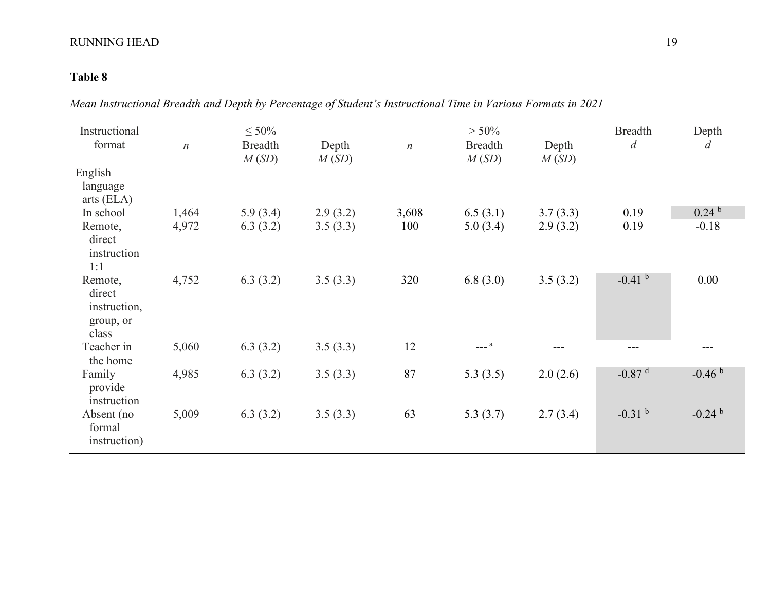# **Table 8**

*Mean Instructional Breadth and Depth by Percentage of Student's Instructional Time in Various Formats in 2021* 

| Instructional                                           |                  | $\leq 50\%$             |                |                  | $> 50\%$                |                | <b>Breadth</b>       | Depth                |
|---------------------------------------------------------|------------------|-------------------------|----------------|------------------|-------------------------|----------------|----------------------|----------------------|
| format                                                  | $\boldsymbol{n}$ | <b>Breadth</b><br>M(SD) | Depth<br>M(SD) | $\boldsymbol{n}$ | <b>Breadth</b><br>M(SD) | Depth<br>M(SD) | $\overline{d}$       | $\overline{d}$       |
| English<br>language<br>arts (ELA)                       |                  |                         |                |                  |                         |                |                      |                      |
| In school                                               | 1,464            | 5.9(3.4)                | 2.9(3.2)       | 3,608            | 6.5(3.1)                | 3.7(3.3)       | 0.19                 | 0.24 <sup>b</sup>    |
| Remote,<br>direct<br>instruction<br>1:1                 | 4,972            | 6.3(3.2)                | 3.5(3.3)       | 100              | 5.0(3.4)                | 2.9(3.2)       | 0.19                 | $-0.18$              |
| Remote,<br>direct<br>instruction,<br>group, or<br>class | 4,752            | 6.3(3.2)                | 3.5(3.3)       | 320              | 6.8(3.0)                | 3.5(3.2)       | $-0.41$ b            | 0.00                 |
| Teacher in<br>the home                                  | 5,060            | 6.3(3.2)                | 3.5(3.3)       | 12               | $---a$                  |                | ---                  |                      |
| Family<br>provide<br>instruction                        | 4,985            | 6.3(3.2)                | 3.5(3.3)       | 87               | 5.3(3.5)                | 2.0(2.6)       | $-0.87$ <sup>d</sup> | $-0.46b$             |
| Absent (no<br>formal<br>instruction)                    | 5,009            | 6.3(3.2)                | 3.5(3.3)       | 63               | 5.3(3.7)                | 2.7(3.4)       | $-0.31$ b            | $-0.24$ <sup>b</sup> |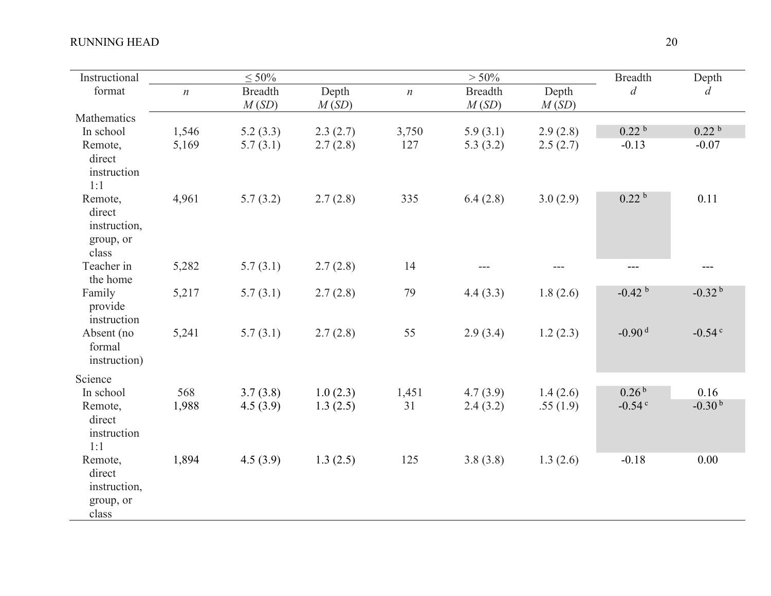| Instructional                                           |                  | $\leq 50\%$             |                |                  | $> 50\%$                |                | <b>Breadth</b>       | Depth                |
|---------------------------------------------------------|------------------|-------------------------|----------------|------------------|-------------------------|----------------|----------------------|----------------------|
| format                                                  | $\boldsymbol{n}$ | <b>Breadth</b><br>M(SD) | Depth<br>M(SD) | $\boldsymbol{n}$ | <b>Breadth</b><br>M(SD) | Depth<br>M(SD) | $\overline{d}$       | $\overline{d}$       |
| Mathematics                                             |                  |                         |                |                  |                         |                |                      |                      |
| In school                                               | 1,546            | 5.2(3.3)                | 2.3(2.7)       | 3,750            | 5.9(3.1)                | 2.9(2.8)       | 0.22 <sup>b</sup>    | 0.22 <sup>b</sup>    |
| Remote,<br>direct<br>instruction<br>1:1                 | 5,169            | 5.7(3.1)                | 2.7(2.8)       | 127              | 5.3(3.2)                | 2.5(2.7)       | $-0.13$              | $-0.07$              |
| Remote,<br>direct<br>instruction,<br>group, or<br>class | 4,961            | 5.7(3.2)                | 2.7(2.8)       | 335              | 6.4(2.8)                | 3.0(2.9)       | 0.22 <sup>b</sup>    | 0.11                 |
| Teacher in<br>the home                                  | 5,282            | 5.7(3.1)                | 2.7(2.8)       | 14               | ---                     | ---            | ---                  |                      |
| Family<br>provide<br>instruction                        | 5,217            | 5.7(3.1)                | 2.7(2.8)       | 79               | 4.4(3.3)                | 1.8(2.6)       | $-0.42$ <sup>b</sup> | $-0.32b$             |
| Absent (no<br>formal<br>instruction)                    | 5,241            | 5.7(3.1)                | 2.7(2.8)       | 55               | 2.9(3.4)                | 1.2(2.3)       | $-0.90d$             | $-0.54$ <sup>c</sup> |
| Science                                                 |                  |                         |                |                  |                         |                |                      |                      |
| In school                                               | 568              | 3.7(3.8)                | 1.0(2.3)       | 1,451            | 4.7(3.9)                | 1.4(2.6)       | 0.26 <sup>b</sup>    | 0.16                 |
| Remote,<br>direct<br>instruction<br>1:1                 | 1,988            | 4.5(3.9)                | 1.3(2.5)       | 31               | 2.4(3.2)                | .55(1.9)       | $-0.54$ <sup>c</sup> | $-0.30b$             |
| Remote,<br>direct<br>instruction,<br>group, or<br>class | 1,894            | 4.5(3.9)                | 1.3(2.5)       | 125              | 3.8(3.8)                | 1.3(2.6)       | $-0.18$              | 0.00                 |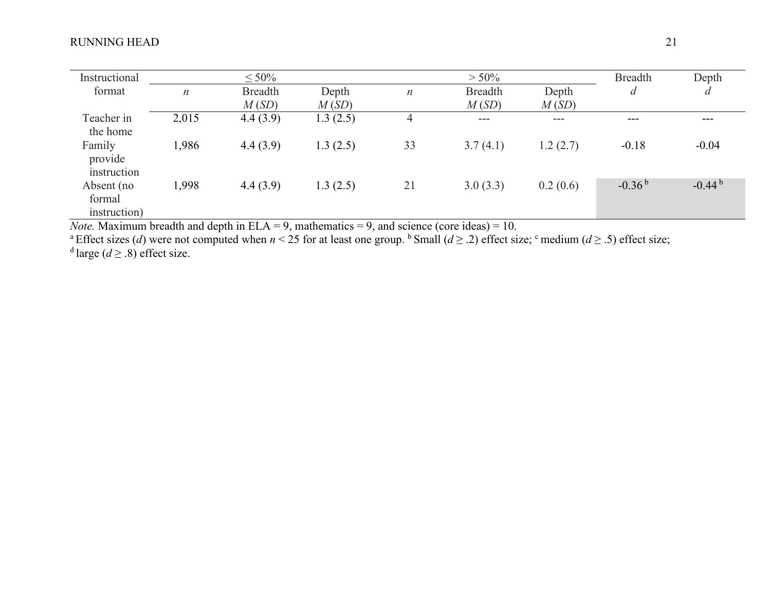| Instructional |                  | $\leq 50\%$    |          |                  | $> 50\%$       |          | <b>Breadth</b> | Depth    |
|---------------|------------------|----------------|----------|------------------|----------------|----------|----------------|----------|
| format        | $\boldsymbol{n}$ | <b>Breadth</b> | Depth    | $\boldsymbol{n}$ | <b>Breadth</b> | Depth    | d              | d        |
|               |                  | M(SD)          | M(SD)    |                  | M(SD)          | M(SD)    |                |          |
| Teacher in    | 2,015            | 4.4(3.9)       | 1.3(2.5) | 4                | $---$          | $---$    | $---$          | ---      |
| the home      |                  |                |          |                  |                |          |                |          |
| Family        | 1,986            | 4.4(3.9)       | 1.3(2.5) | 33               | 3.7(4.1)       | 1.2(2.7) | $-0.18$        | $-0.04$  |
| provide       |                  |                |          |                  |                |          |                |          |
| instruction   |                  |                |          |                  |                |          |                |          |
| Absent (no    | 1,998            | 4.4(3.9)       | 1.3(2.5) | 21               | 3.0(3.3)       | 0.2(0.6) | $-0.36b$       | $-0.44b$ |
| formal        |                  |                |          |                  |                |          |                |          |
| instruction)  |                  |                |          |                  |                |          |                |          |

*Note.* Maximum breadth and depth in ELA = 9, mathematics = 9, and science (core ideas) = 10.<br><sup>a</sup> Effect sizes (*d*) were not computed when *n* < 25 for at least one group. <sup>b</sup> Small (*d* ≥ .2) effect size; <sup>c</sup> medium (*d*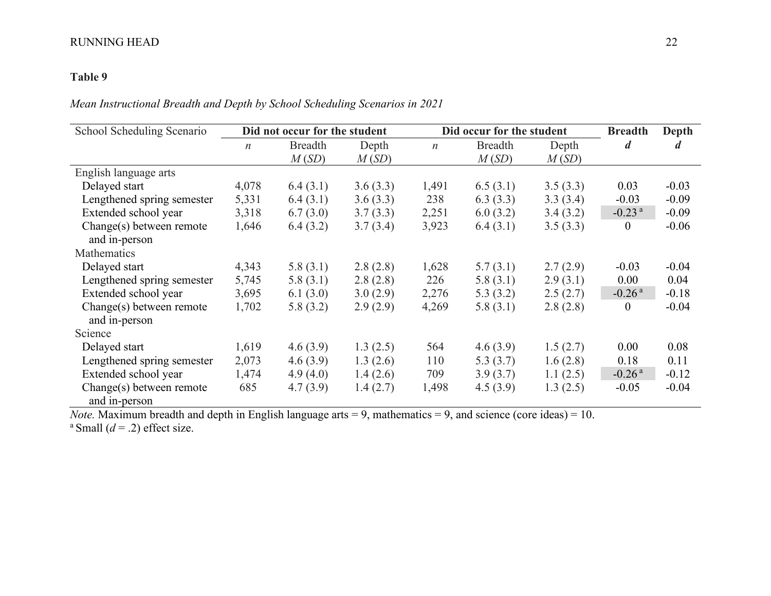# **Table 9**

*Mean Instructional Breadth and Depth by School Scheduling Scenarios in 2021*

| School Scheduling Scenario                | Did not occur for the student |                |          |                  | Did occur for the student | <b>Breadth</b> | Depth                |                  |
|-------------------------------------------|-------------------------------|----------------|----------|------------------|---------------------------|----------------|----------------------|------------------|
|                                           | $\boldsymbol{n}$              | <b>Breadth</b> | Depth    | $\boldsymbol{n}$ | <b>Breadth</b>            | Depth          | $\boldsymbol{d}$     | $\boldsymbol{d}$ |
|                                           |                               | M(SD)          | M(SD)    |                  | M(SD)                     | M(SD)          |                      |                  |
| English language arts                     |                               |                |          |                  |                           |                |                      |                  |
| Delayed start                             | 4,078                         | 6.4(3.1)       | 3.6(3.3) | 1,491            | 6.5(3.1)                  | 3.5(3.3)       | 0.03                 | $-0.03$          |
| Lengthened spring semester                | 5,331                         | 6.4(3.1)       | 3.6(3.3) | 238              | 6.3(3.3)                  | 3.3(3.4)       | $-0.03$              | $-0.09$          |
| Extended school year                      | 3,318                         | 6.7(3.0)       | 3.7(3.3) | 2,251            | 6.0(3.2)                  | 3.4(3.2)       | $-0.23$ <sup>a</sup> | $-0.09$          |
| Change(s) between remote                  | 1,646                         | 6.4(3.2)       | 3.7(3.4) | 3,923            | 6.4(3.1)                  | 3.5(3.3)       | $\boldsymbol{0}$     | $-0.06$          |
| and in-person                             |                               |                |          |                  |                           |                |                      |                  |
| Mathematics                               |                               |                |          |                  |                           |                |                      |                  |
| Delayed start                             | 4,343                         | 5.8(3.1)       | 2.8(2.8) | 1,628            | 5.7(3.1)                  | 2.7(2.9)       | $-0.03$              | $-0.04$          |
| Lengthened spring semester                | 5,745                         | 5.8(3.1)       | 2.8(2.8) | 226              | 5.8(3.1)                  | 2.9(3.1)       | 0.00                 | 0.04             |
| Extended school year                      | 3,695                         | 6.1(3.0)       | 3.0(2.9) | 2,276            | 5.3(3.2)                  | 2.5(2.7)       | $-0.26$ <sup>a</sup> | $-0.18$          |
| Change(s) between remote                  | 1,702                         | 5.8(3.2)       | 2.9(2.9) | 4,269            | 5.8(3.1)                  | 2.8(2.8)       | $\boldsymbol{0}$     | $-0.04$          |
| and in-person                             |                               |                |          |                  |                           |                |                      |                  |
| Science                                   |                               |                |          |                  |                           |                |                      |                  |
| Delayed start                             | 1,619                         | 4.6(3.9)       | 1.3(2.5) | 564              | 4.6(3.9)                  | 1.5(2.7)       | 0.00                 | 0.08             |
| Lengthened spring semester                | 2,073                         | 4.6(3.9)       | 1.3(2.6) | 110              | 5.3(3.7)                  | 1.6(2.8)       | 0.18                 | 0.11             |
| Extended school year                      | 1,474                         | 4.9(4.0)       | 1.4(2.6) | 709              | 3.9(3.7)                  | 1.1(2.5)       | $-0.26$ <sup>a</sup> | $-0.12$          |
| Change(s) between remote<br>and in-person | 685                           | 4.7(3.9)       | 1.4(2.7) | 1,498            | 4.5(3.9)                  | 1.3(2.5)       | $-0.05$              | $-0.04$          |

*Note.* Maximum breadth and depth in English language arts = 9, mathematics = 9, and science (core ideas) = 10.  $a$  Small ( $d = .2$ ) effect size.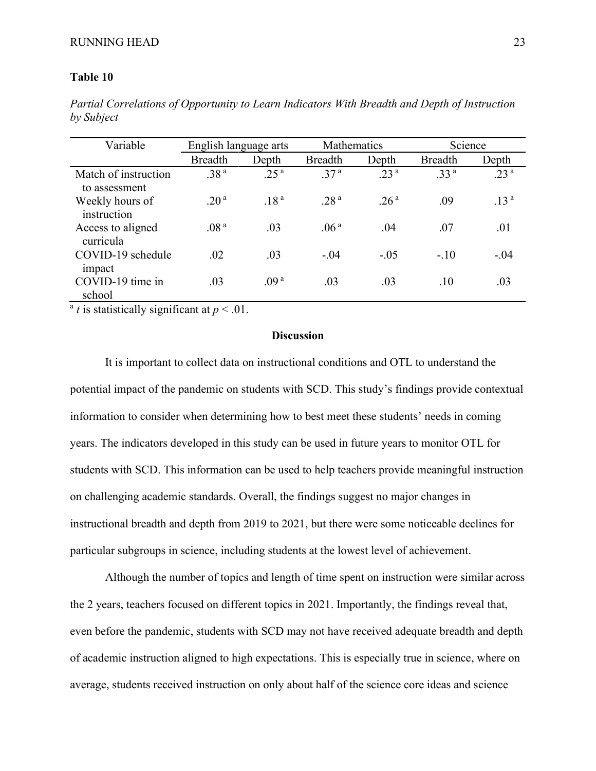### **Table 10**

*Partial Correlations of Opportunity to Learn Indicators With Breadth and Depth of Instruction by Subject*

| Variable                              | English language arts |                  | Mathematics      |                  | Science          |                  |
|---------------------------------------|-----------------------|------------------|------------------|------------------|------------------|------------------|
|                                       | <b>Breadth</b>        | Depth            | <b>Breadth</b>   | Depth            | <b>Breadth</b>   | Depth            |
| Match of instruction<br>to assessment | .38 <sup>a</sup>      | .25 <sup>a</sup> | .37 <sup>a</sup> | .23 <sup>a</sup> | .33 <sup>a</sup> | .23 <sup>a</sup> |
| Weekly hours of<br>instruction        | .20 <sup>a</sup>      | .18 <sup>a</sup> | .28 <sup>a</sup> | .26 <sup>a</sup> | .09              | .13 <sup>a</sup> |
| Access to aligned<br>curricula        | .08 <sup>a</sup>      | .03              | .06 <sup>a</sup> | .04              | .07              | .01              |
| COVID-19 schedule<br>impact           | .02                   | .03              | $-.04$           | $-.05$           | $-.10$           | $-.04$           |
| COVID-19 time in<br>school            | .03                   | .09 <sup>a</sup> | .03              | .03              | .10              | .03              |

 $a$  *t* is statistically significant at  $p < .01$ .

### **Discussion**

It is important to collect data on instructional conditions and OTL to understand the potential impact of the pandemic on students with SCD. This study's findings provide contextual information to consider when determining how to best meet these students' needs in coming years. The indicators developed in this study can be used in future years to monitor OTL for students with SCD. This information can be used to help teachers provide meaningful instruction on challenging academic standards. Overall, the findings suggest no major changes in instructional breadth and depth from 2019 to 2021, but there were some noticeable declines for particular subgroups in science, including students at the lowest level of achievement.

Although the number of topics and length of time spent on instruction were similar across the 2 years, teachers focused on different topics in 2021. Importantly, the findings reveal that, even before the pandemic, students with SCD may not have received adequate breadth and depth of academic instruction aligned to high expectations. This is especially true in science, where on average, students received instruction on only about half of the science core ideas and science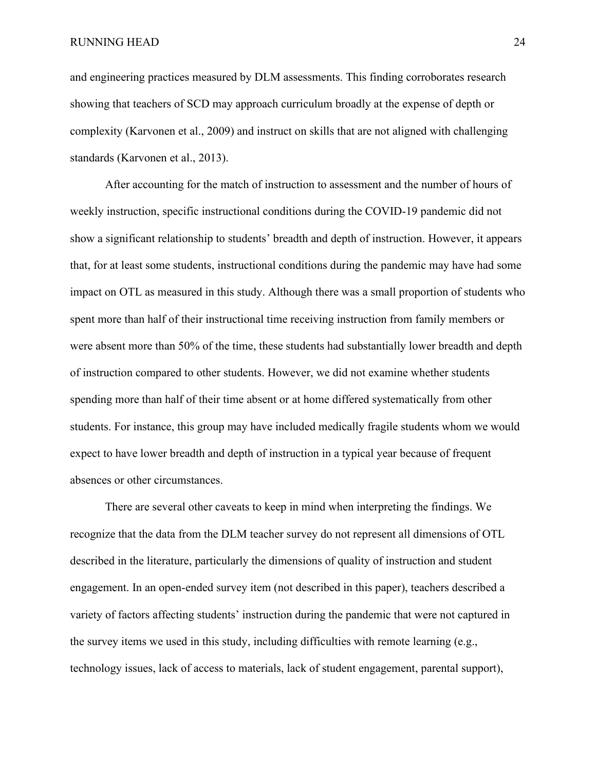and engineering practices measured by DLM assessments. This finding corroborates research showing that teachers of SCD may approach curriculum broadly at the expense of depth or complexity (Karvonen et al., 2009) and instruct on skills that are not aligned with challenging standards (Karvonen et al., 2013).

After accounting for the match of instruction to assessment and the number of hours of weekly instruction, specific instructional conditions during the COVID-19 pandemic did not show a significant relationship to students' breadth and depth of instruction. However, it appears that, for at least some students, instructional conditions during the pandemic may have had some impact on OTL as measured in this study. Although there was a small proportion of students who spent more than half of their instructional time receiving instruction from family members or were absent more than 50% of the time, these students had substantially lower breadth and depth of instruction compared to other students. However, we did not examine whether students spending more than half of their time absent or at home differed systematically from other students. For instance, this group may have included medically fragile students whom we would expect to have lower breadth and depth of instruction in a typical year because of frequent absences or other circumstances.

There are several other caveats to keep in mind when interpreting the findings. We recognize that the data from the DLM teacher survey do not represent all dimensions of OTL described in the literature, particularly the dimensions of quality of instruction and student engagement. In an open-ended survey item (not described in this paper), teachers described a variety of factors affecting students' instruction during the pandemic that were not captured in the survey items we used in this study, including difficulties with remote learning (e.g., technology issues, lack of access to materials, lack of student engagement, parental support),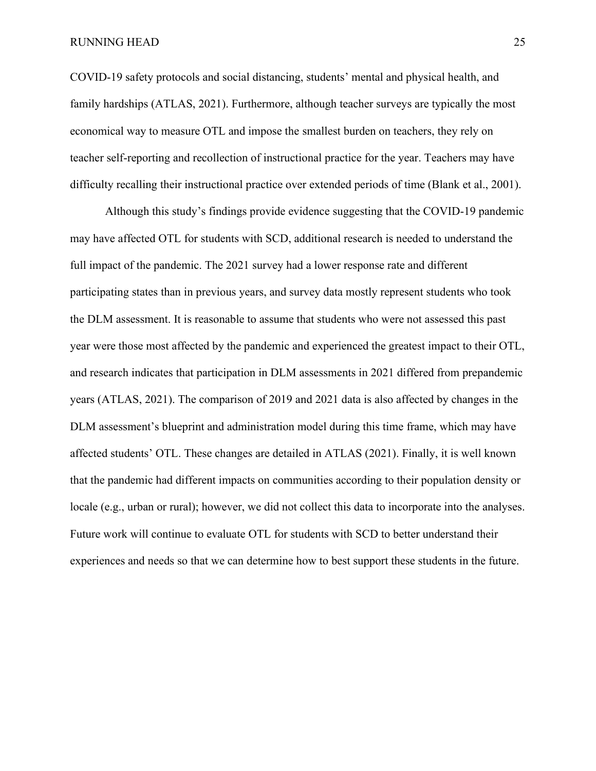COVID-19 safety protocols and social distancing, students' mental and physical health, and family hardships (ATLAS, 2021). Furthermore, although teacher surveys are typically the most economical way to measure OTL and impose the smallest burden on teachers, they rely on teacher self-reporting and recollection of instructional practice for the year. Teachers may have difficulty recalling their instructional practice over extended periods of time (Blank et al., 2001).

Although this study's findings provide evidence suggesting that the COVID-19 pandemic may have affected OTL for students with SCD, additional research is needed to understand the full impact of the pandemic. The 2021 survey had a lower response rate and different participating states than in previous years, and survey data mostly represent students who took the DLM assessment. It is reasonable to assume that students who were not assessed this past year were those most affected by the pandemic and experienced the greatest impact to their OTL, and research indicates that participation in DLM assessments in 2021 differed from prepandemic years (ATLAS, 2021). The comparison of 2019 and 2021 data is also affected by changes in the DLM assessment's blueprint and administration model during this time frame, which may have affected students' OTL. These changes are detailed in ATLAS (2021). Finally, it is well known that the pandemic had different impacts on communities according to their population density or locale (e.g., urban or rural); however, we did not collect this data to incorporate into the analyses. Future work will continue to evaluate OTL for students with SCD to better understand their experiences and needs so that we can determine how to best support these students in the future.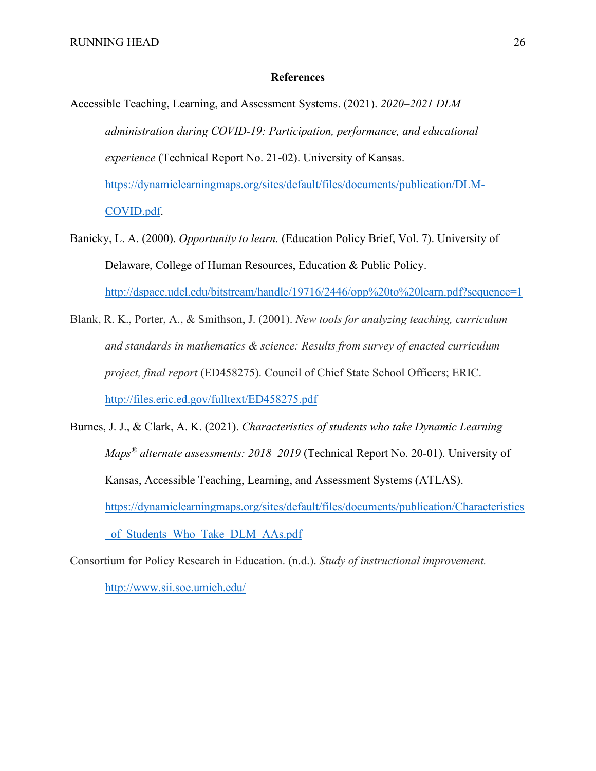#### **References**

Accessible Teaching, Learning, and Assessment Systems. (2021). *2020–2021 DLM administration during COVID-19: Participation, performance, and educational experience* (Technical Report No. 21-02). University of Kansas. [https://dynamiclearningmaps.org/sites/default/files/documents/publication/DLM-](https://dynamiclearningmaps.org/sites/default/files/documents/publication/DLM-COVID.pdf)[COVID.pdf.](https://dynamiclearningmaps.org/sites/default/files/documents/publication/DLM-COVID.pdf)

- Banicky, L. A. (2000). *Opportunity to learn.* (Education Policy Brief, Vol. 7). University of Delaware, College of Human Resources, Education & Public Policy. <http://dspace.udel.edu/bitstream/handle/19716/2446/opp%20to%20learn.pdf?sequence=1>
- Blank, R. K., Porter, A., & Smithson, J. (2001). *New tools for analyzing teaching, curriculum and standards in mathematics & science: Results from survey of enacted curriculum project, final report* (ED458275). Council of Chief State School Officers; ERIC. <http://files.eric.ed.gov/fulltext/ED458275.pdf>
- Burnes, J. J., & Clark, A. K. (2021). *Characteristics of students who take Dynamic Learning Maps® alternate assessments: 2018–2019* (Technical Report No. 20-01). University of Kansas, Accessible Teaching, Learning, and Assessment Systems (ATLAS). [https://dynamiclearningmaps.org/sites/default/files/documents/publication/Characteristics](https://dynamiclearningmaps.org/sites/default/files/documents/publication/Characteristics_of_Students_Who_Take_DLM_AAs.pdf) of Students Who Take DLM AAs.pdf

Consortium for Policy Research in Education. (n.d.). *Study of instructional improvement.*  <http://www.sii.soe.umich.edu/>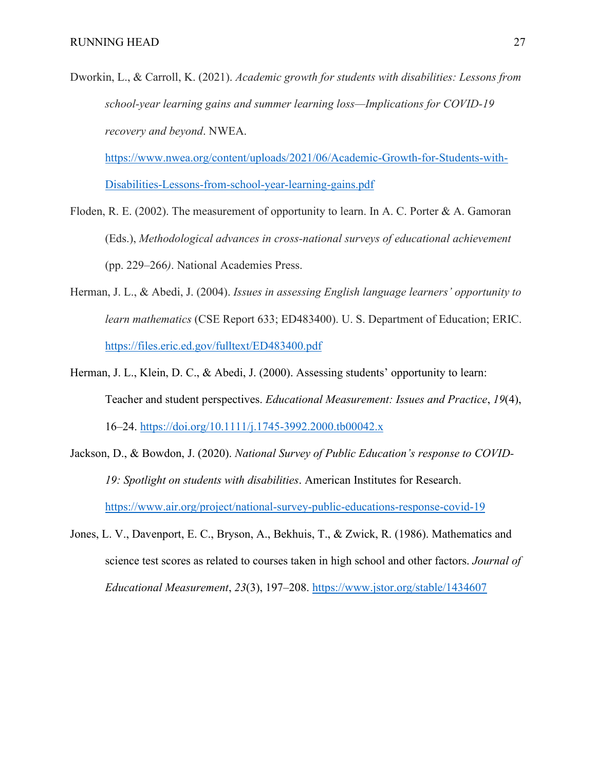Dworkin, L., & Carroll, K. (2021). *Academic growth for students with disabilities: Lessons from school-year learning gains and summer learning loss—Implications for COVID-19 recovery and beyond*. NWEA.

[https://www.nwea.org/content/uploads/2021/06/Academic-Growth-for-Students-with-](https://www.nwea.org/content/uploads/2021/06/Academic-Growth-for-Students-with-Disabilities-Lessons-from-school-year-learning-gains.pdf)[Disabilities-Lessons-from-school-year-learning-gains.pdf](https://www.nwea.org/content/uploads/2021/06/Academic-Growth-for-Students-with-Disabilities-Lessons-from-school-year-learning-gains.pdf)

- Floden, R. E. (2002). The measurement of opportunity to learn. In A. C. Porter & A. Gamoran (Eds.), *Methodological advances in cross-national surveys of educational achievement*  (pp. 229–266*)*. National Academies Press.
- Herman, J. L., & Abedi, J. (2004). *Issues in assessing English language learners' opportunity to learn mathematics* (CSE Report 633; ED483400). U. S. Department of Education; ERIC. <https://files.eric.ed.gov/fulltext/ED483400.pdf>
- Herman, J. L., Klein, D. C., & Abedi, J. (2000). Assessing students' opportunity to learn: Teacher and student perspectives. *Educational Measurement: Issues and Practice*, *19*(4), 16–24.<https://doi.org/10.1111/j.1745-3992.2000.tb00042.x>
- Jackson, D., & Bowdon, J. (2020). *National Survey of Public Education's response to COVID-19: Spotlight on students with disabilities*. American Institutes for Research. <https://www.air.org/project/national-survey-public-educations-response-covid-19>
- Jones, L. V., Davenport, E. C., Bryson, A., Bekhuis, T., & Zwick, R. (1986). Mathematics and science test scores as related to courses taken in high school and other factors. *Journal of Educational Measurement*, *23*(3), 197–208. <https://www.jstor.org/stable/1434607>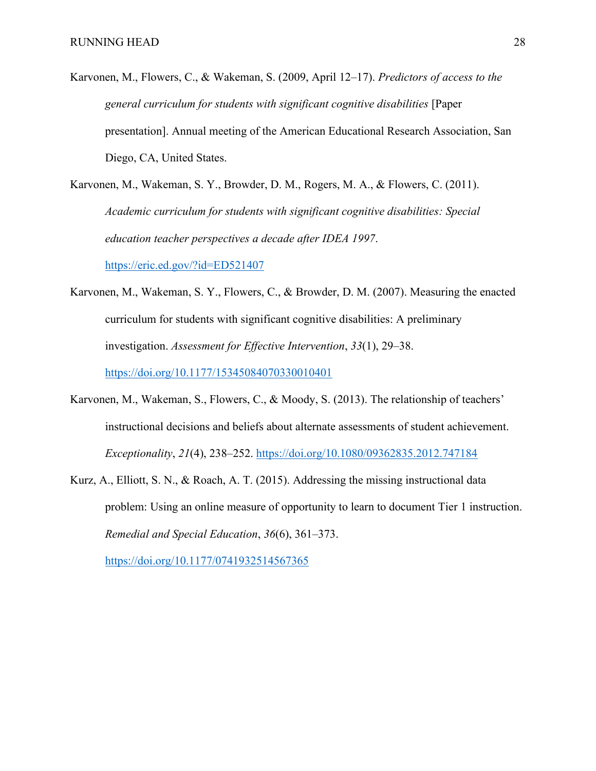Karvonen, M., Flowers, C., & Wakeman, S. (2009, April 12–17). *Predictors of access to the general curriculum for students with significant cognitive disabilities* [Paper presentation]. Annual meeting of the American Educational Research Association, San Diego, CA, United States.

Karvonen, M., Wakeman, S. Y., Browder, D. M., Rogers, M. A., & Flowers, C. (2011). *Academic curriculum for students with significant cognitive disabilities: Special education teacher perspectives a decade after IDEA 1997*.

<https://eric.ed.gov/?id=ED521407>

Karvonen, M., Wakeman, S. Y., Flowers, C., & Browder, D. M. (2007). Measuring the enacted curriculum for students with significant cognitive disabilities: A preliminary investigation. *Assessment for Effective Intervention*, *33*(1), 29–38.

<https://doi.org/10.1177/15345084070330010401>

- Karvonen, M., Wakeman, S., Flowers, C., & Moody, S. (2013). The relationship of teachers' instructional decisions and beliefs about alternate assessments of student achievement. *Exceptionality*, *21*(4), 238–252.<https://doi.org/10.1080/09362835.2012.747184>
- Kurz, A., Elliott, S. N., & Roach, A. T. (2015). Addressing the missing instructional data problem: Using an online measure of opportunity to learn to document Tier 1 instruction. *Remedial and Special Education*, *36*(6), 361–373. <https://doi.org/10.1177/0741932514567365>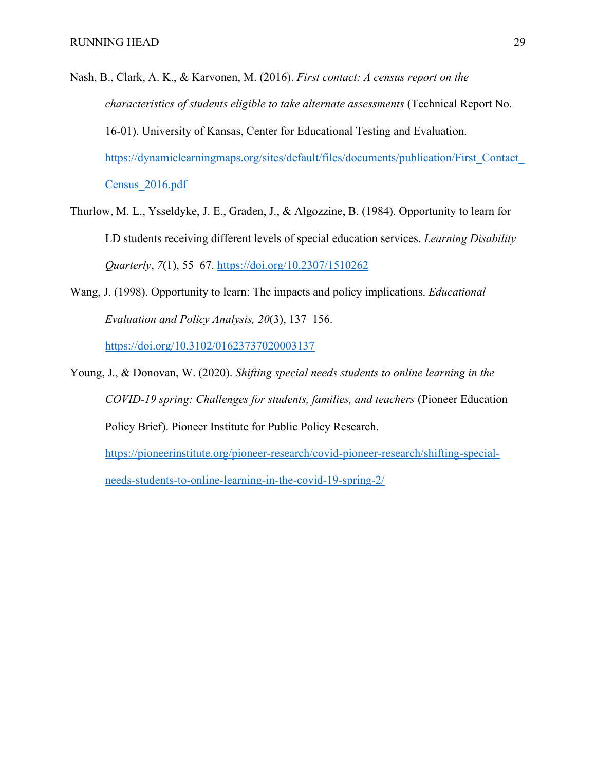- Nash, B., Clark, A. K., & Karvonen, M. (2016). *First contact: A census report on the characteristics of students eligible to take alternate assessments* (Technical Report No. 16-01). University of Kansas, Center for Educational Testing and Evaluation. https://dynamiclearningmaps.org/sites/default/files/documents/publication/First\_Contact [Census\\_2016.pdf](https://dynamiclearningmaps.org/sites/default/files/documents/publication/First_Contact_Census_2016.pdf)
- Thurlow, M. L., Ysseldyke, J. E., Graden, J., & Algozzine, B. (1984). Opportunity to learn for LD students receiving different levels of special education services. *Learning Disability Quarterly*, *7*(1), 55–67. <https://doi.org/10.2307/1510262>
- Wang, J. (1998). Opportunity to learn: The impacts and policy implications. *Educational Evaluation and Policy Analysis, 20*(3), 137–156. <https://doi.org/10.3102/01623737020003137>
- Young, J., & Donovan, W. (2020). *Shifting special needs students to online learning in the COVID-19 spring: Challenges for students, families, and teachers* (Pioneer Education Policy Brief). Pioneer Institute for Public Policy Research. [https://pioneerinstitute.org/pioneer-research/covid-pioneer-research/shifting-special](https://pioneerinstitute.org/pioneer-research/covid-pioneer-research/shifting-special-needs-students-to-online-learning-in-the-covid-19-spring-2/)[needs-students-to-online-learning-in-the-covid-19-spring-2/](https://pioneerinstitute.org/pioneer-research/covid-pioneer-research/shifting-special-needs-students-to-online-learning-in-the-covid-19-spring-2/)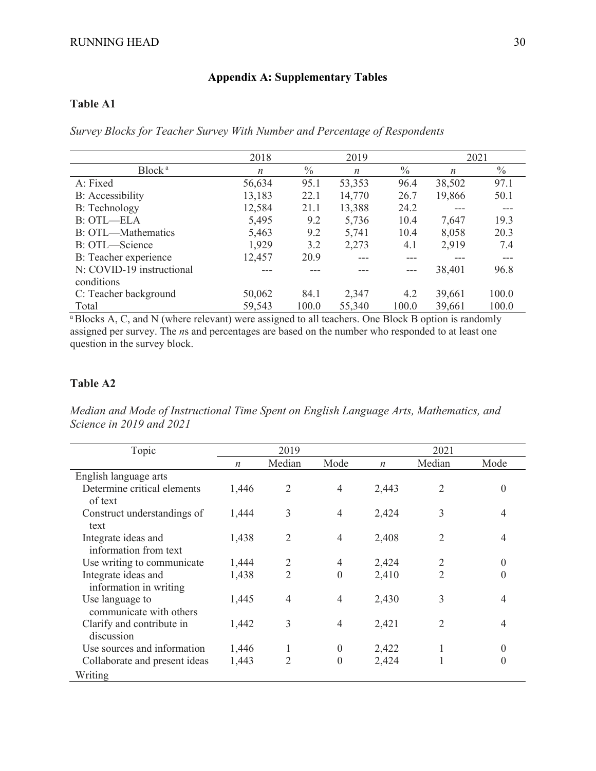## **Appendix A: Supplementary Tables**

## **Table A1**

*Survey Blocks for Teacher Survey With Number and Percentage of Respondents*

|                           | 2018             |       | 2019             |               | 2021   |               |
|---------------------------|------------------|-------|------------------|---------------|--------|---------------|
| Block <sup>a</sup>        | $\boldsymbol{n}$ | $\%$  | $\boldsymbol{n}$ | $\frac{0}{0}$ | n      | $\frac{0}{0}$ |
| A: Fixed                  | 56,634           | 95.1  | 53,353           | 96.4          | 38,502 | 97.1          |
| <b>B:</b> Accessibility   | 13,183           | 22.1  | 14,770           | 26.7          | 19,866 | 50.1          |
| B: Technology             | 12,584           | 21.1  | 13,388           | 24.2          |        |               |
| <b>B: OTL-ELA</b>         | 5,495            | 9.2   | 5,736            | 10.4          | 7,647  | 19.3          |
| B: OTL—Mathematics        | 5,463            | 9.2   | 5,741            | 10.4          | 8,058  | 20.3          |
| B: OTL—Science            | 1,929            | 3.2   | 2,273            | 4.1           | 2,919  | 7.4           |
| B: Teacher experience     | 12,457           | 20.9  |                  |               |        |               |
| N: COVID-19 instructional |                  |       |                  |               | 38,401 | 96.8          |
| conditions                |                  |       |                  |               |        |               |
| C: Teacher background     | 50,062           | 84.1  | 2,347            | 4.2           | 39,661 | 100.0         |
| Total                     | 59,543           | 100.0 | 55,340           | 100.0         | 39,661 | 100.0         |

<sup>a</sup>Blocks A, C, and N (where relevant) were assigned to all teachers. One Block B option is randomly assigned per survey. The *n*s and percentages are based on the number who responded to at least one question in the survey block.

### **Table A2**

*Median and Mode of Instructional Time Spent on English Language Arts, Mathematics, and Science in 2019 and 2021*

| Topic                                         |                  | 2019           |                  | 2021             |                |                  |  |
|-----------------------------------------------|------------------|----------------|------------------|------------------|----------------|------------------|--|
|                                               | $\boldsymbol{n}$ | Median         | Mode             | $\boldsymbol{n}$ | Median         | Mode             |  |
| English language arts                         |                  |                |                  |                  |                |                  |  |
| Determine critical elements<br>of text        | 1,446            | $\overline{2}$ | 4                | 2,443            | $\overline{2}$ | 0                |  |
| Construct understandings of<br>text           | 1,444            | 3              | $\overline{4}$   | 2,424            | 3              | 4                |  |
| Integrate ideas and<br>information from text  | 1,438            | $\overline{2}$ | 4                | 2,408            | $\overline{2}$ |                  |  |
| Use writing to communicate                    | 1,444            | 2              | 4                | 2,424            | 2              | $\left( \right)$ |  |
| Integrate ideas and<br>information in writing | 1,438            | $\overline{2}$ | $\boldsymbol{0}$ | 2,410            | 2              |                  |  |
| Use language to<br>communicate with others    | 1,445            | $\overline{4}$ | $\overline{4}$   | 2,430            | 3              | 4                |  |
| Clarify and contribute in<br>discussion       | 1,442            | 3              | $\overline{4}$   | 2,421            | 2              |                  |  |
| Use sources and information                   | 1,446            |                | $\boldsymbol{0}$ | 2,422            |                |                  |  |
| Collaborate and present ideas                 | 1,443            | $\overline{2}$ | $\theta$         | 2,424            |                | 0                |  |
| Writing                                       |                  |                |                  |                  |                |                  |  |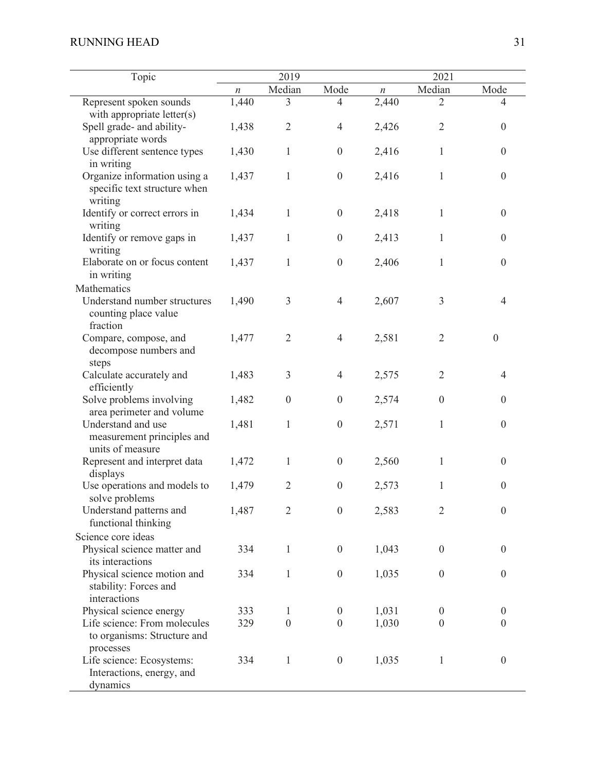| Topic                                                                    | 2019             |                  |                  | 2021             |                  |                  |  |
|--------------------------------------------------------------------------|------------------|------------------|------------------|------------------|------------------|------------------|--|
|                                                                          | $\boldsymbol{n}$ | Median           | Mode             | $\boldsymbol{n}$ | Median           | Mode             |  |
| Represent spoken sounds                                                  | 1,440            | 3                | 4                | 2,440            | $\overline{2}$   | 4                |  |
| with appropriate letter(s)                                               |                  |                  |                  |                  |                  |                  |  |
| Spell grade- and ability-<br>appropriate words                           | 1,438            | $\overline{2}$   | $\overline{4}$   | 2,426            | $\overline{2}$   | $\overline{0}$   |  |
| Use different sentence types<br>in writing                               | 1,430            | $\mathbf{1}$     | $\boldsymbol{0}$ | 2,416            | 1                | $\boldsymbol{0}$ |  |
| Organize information using a<br>specific text structure when<br>writing  | 1,437            | $\mathbf{1}$     | $\boldsymbol{0}$ | 2,416            | $\mathbf{1}$     | $\boldsymbol{0}$ |  |
| Identify or correct errors in<br>writing                                 | 1,434            | 1                | $\boldsymbol{0}$ | 2,418            | 1                | $\boldsymbol{0}$ |  |
| Identify or remove gaps in<br>writing                                    | 1,437            | 1                | $\boldsymbol{0}$ | 2,413            | 1                | $\theta$         |  |
| Elaborate on or focus content<br>in writing                              | 1,437            | 1                | $\boldsymbol{0}$ | 2,406            | 1                | $\theta$         |  |
| Mathematics                                                              |                  |                  |                  |                  |                  |                  |  |
| Understand number structures<br>counting place value<br>fraction         | 1,490            | 3                | $\overline{4}$   | 2,607            | 3                | 4                |  |
| Compare, compose, and<br>decompose numbers and<br>steps                  | 1,477            | $\overline{2}$   | $\overline{4}$   | 2,581            | $\overline{2}$   | $\Omega$         |  |
| Calculate accurately and<br>efficiently                                  | 1,483            | 3                | $\overline{4}$   | 2,575            | $\overline{2}$   | 4                |  |
| Solve problems involving<br>area perimeter and volume                    | 1,482            | $\boldsymbol{0}$ | $\boldsymbol{0}$ | 2,574            | $\boldsymbol{0}$ | $\theta$         |  |
| Understand and use<br>measurement principles and<br>units of measure     | 1,481            | 1                | $\boldsymbol{0}$ | 2,571            | 1                | $\overline{0}$   |  |
| Represent and interpret data<br>displays                                 | 1,472            | 1                | $\boldsymbol{0}$ | 2,560            | 1                | $\theta$         |  |
| Use operations and models to<br>solve problems                           | 1,479            | $\mathfrak{2}$   | $\boldsymbol{0}$ | 2,573            | 1                | $\overline{0}$   |  |
| Understand patterns and<br>functional thinking                           | 1,487            | $\overline{2}$   | $\boldsymbol{0}$ | 2,583            | $\overline{2}$   | $\boldsymbol{0}$ |  |
| Science core ideas                                                       |                  |                  |                  |                  |                  |                  |  |
| Physical science matter and<br>its interactions                          | 334              | $\mathbf{1}$     | $\boldsymbol{0}$ | 1,043            | $\boldsymbol{0}$ | $\overline{0}$   |  |
| Physical science motion and<br>stability: Forces and<br>interactions     | 334              | $\mathbf{1}$     | $\boldsymbol{0}$ | 1,035            | $\boldsymbol{0}$ | $\overline{0}$   |  |
| Physical science energy                                                  | 333              | 1                | $\boldsymbol{0}$ | 1,031            | $\boldsymbol{0}$ | $\overline{0}$   |  |
| Life science: From molecules<br>to organisms: Structure and<br>processes | 329              | $\boldsymbol{0}$ | $\boldsymbol{0}$ | 1,030            | $\boldsymbol{0}$ | $\theta$         |  |
| Life science: Ecosystems:<br>Interactions, energy, and<br>dynamics       | 334              | $\mathbf{1}$     | $\boldsymbol{0}$ | 1,035            | 1                | $\boldsymbol{0}$ |  |